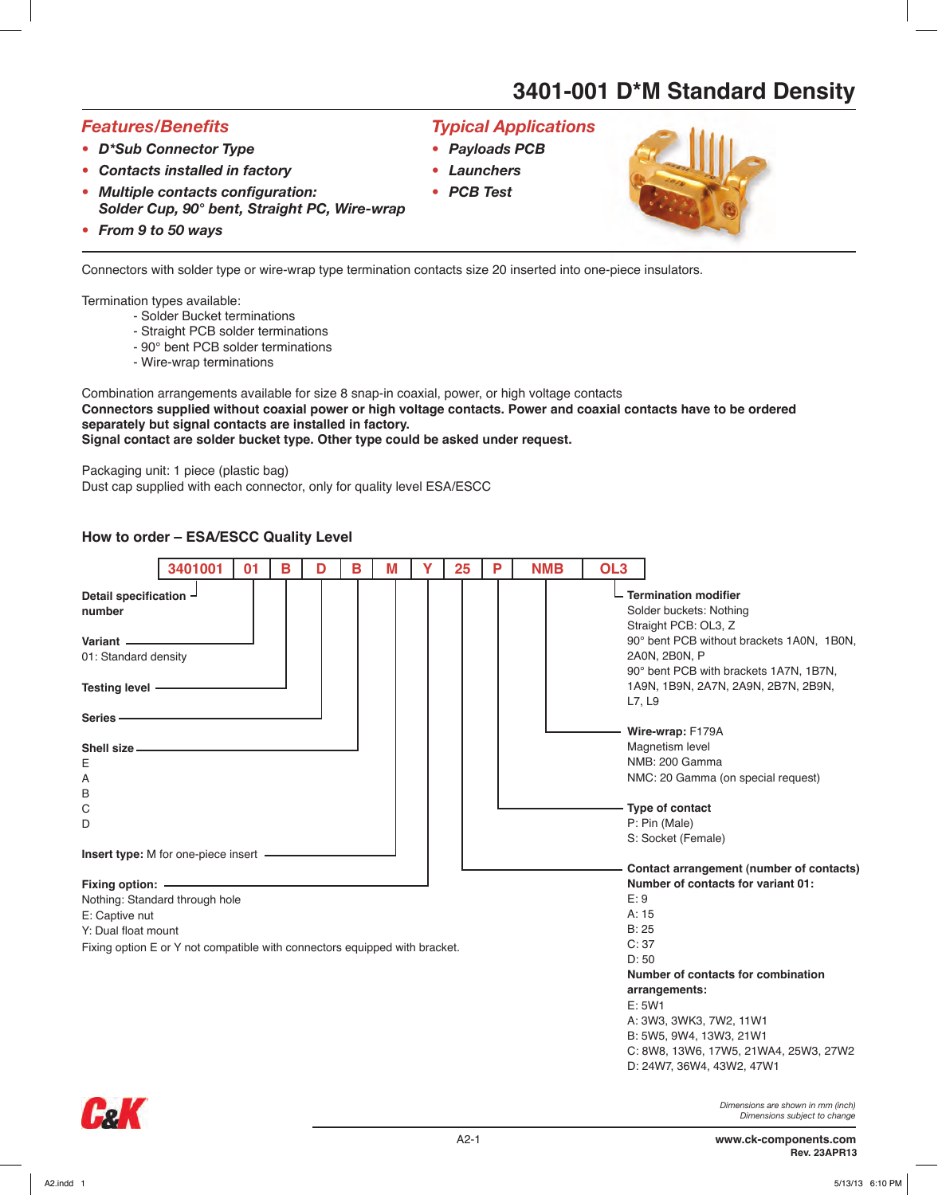## **3401-001 D\*M Standard Density**

#### *Features/Benefits*

- *• D\*Sub Connector Type*
- *• Contacts installed in factory*
- *• Multiple contacts configuration: Solder Cup, 90° bent, Straight PC, Wire-wrap*
- *• From 9 to 50 ways*

Connectors with solder type or wire-wrap type termination contacts size 20 inserted into one-piece insulators.

*Typical Applications*

*• Payloads PCB • Launchers • PCB Test*

Termination types available:

- Solder Bucket terminations
- Straight PCB solder terminations
- 90° bent PCB solder terminations
- Wire-wrap terminations

Combination arrangements available for size 8 snap-in coaxial, power, or high voltage contacts **Connectors supplied without coaxial power or high voltage contacts. Power and coaxial contacts have to be ordered** 

#### **separately but signal contacts are installed in factory.**

#### **Signal contact are solder bucket type. Other type could be asked under request.**

Packaging unit: 1 piece (plastic bag)

Dust cap supplied with each connector, only for quality level ESA/ESCC

#### **How to order – ESA/ESCC Quality Level**





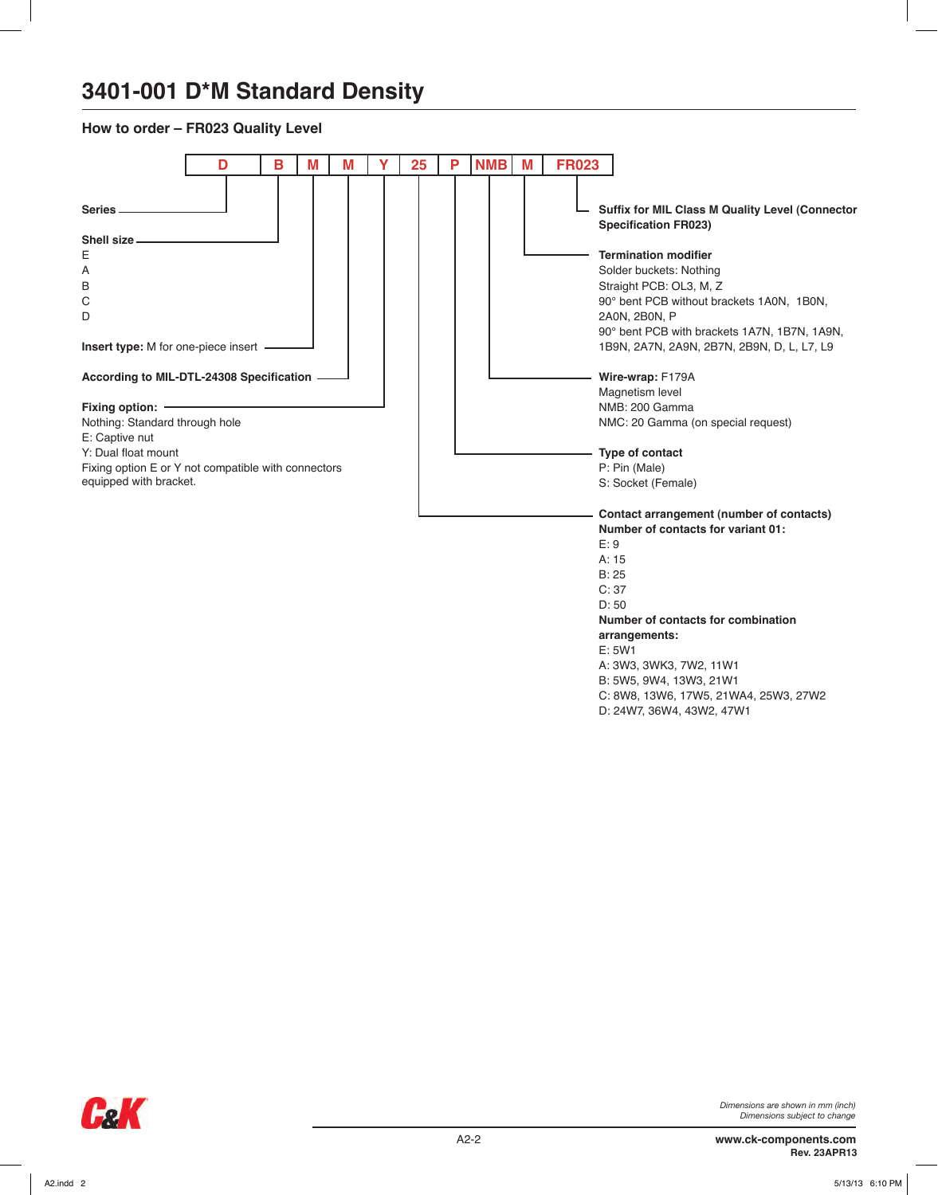#### **How to order – FR023 Quality Level**



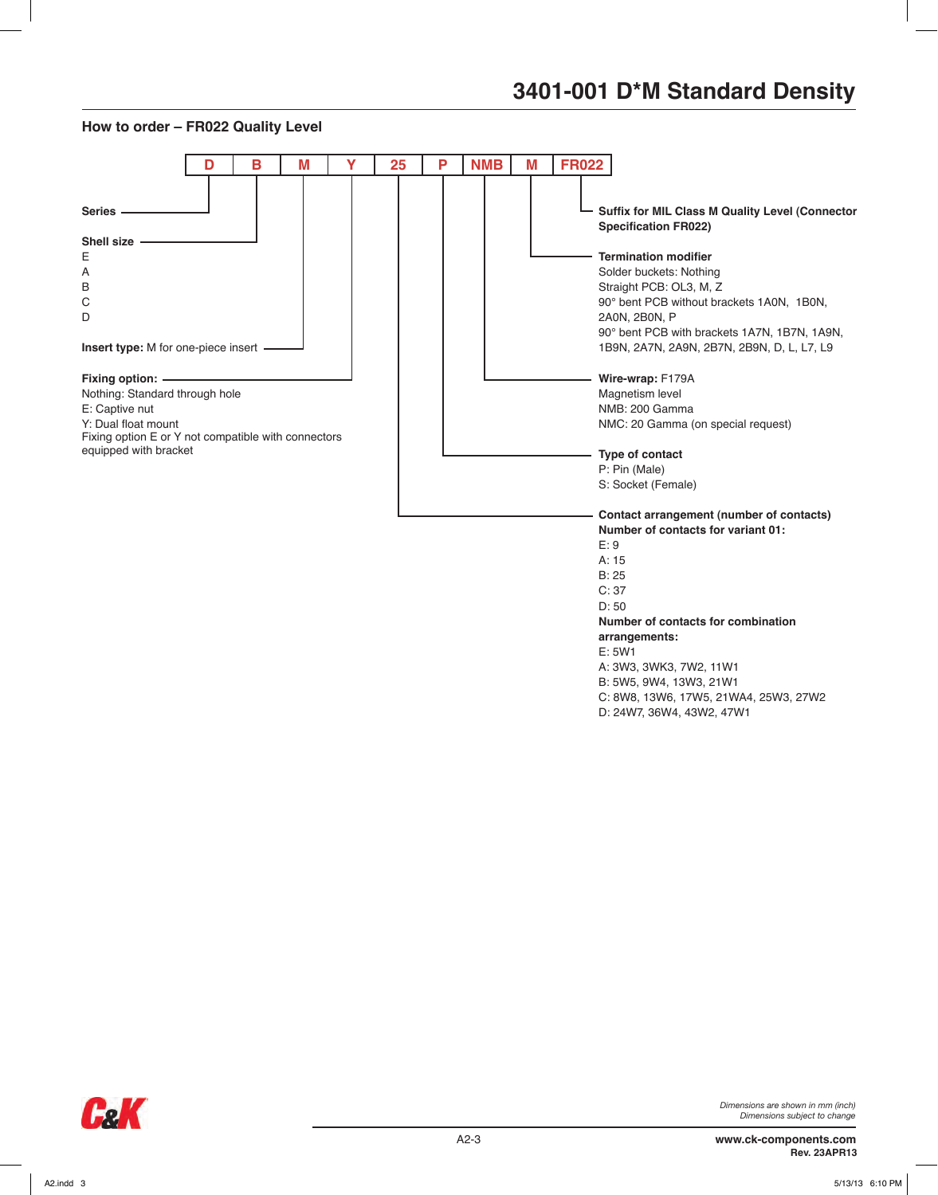# **3401-001 D\*M Standard Density**

#### **How to order – FR022 Quality Level**



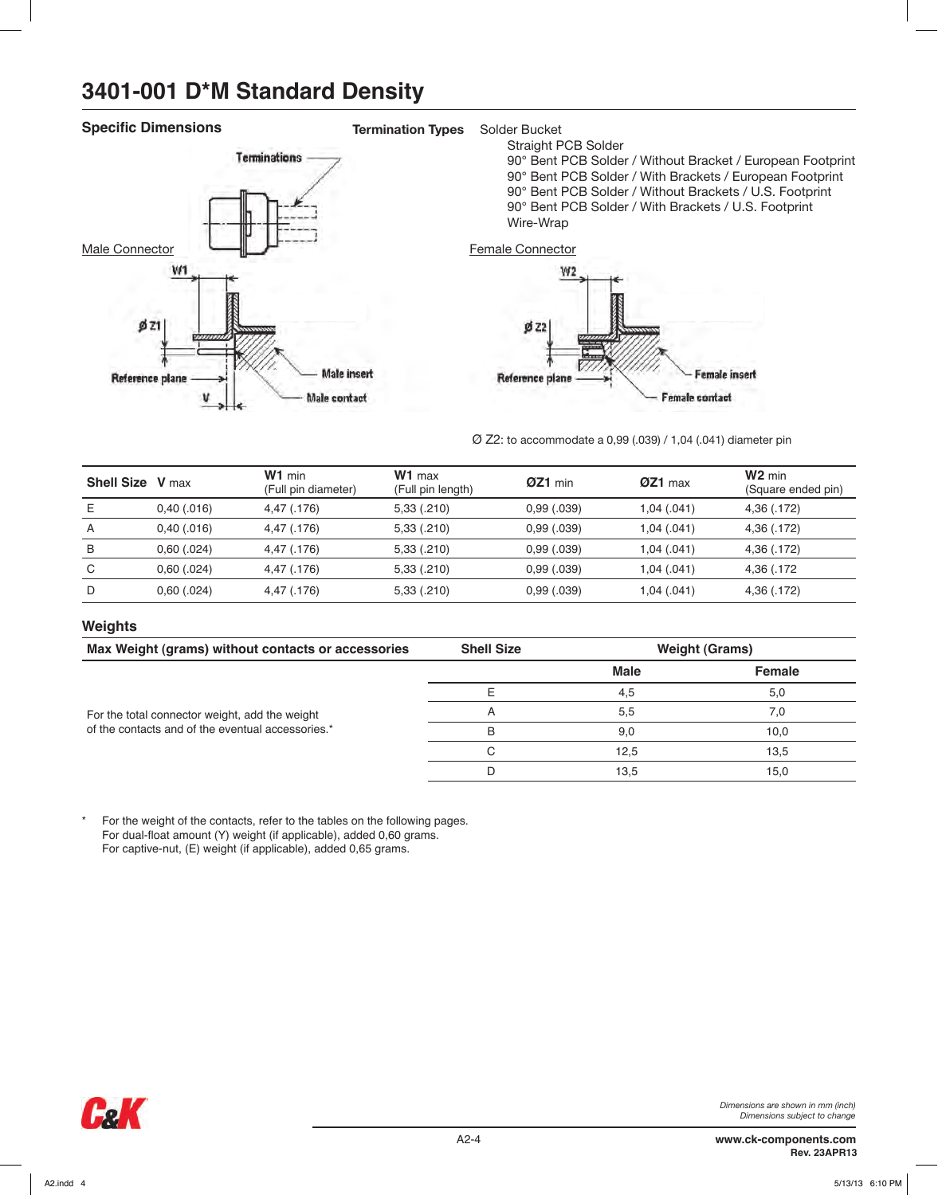# **3401-001 D\*M Standard Density**

#### **Specific Dimensions**



**Termination Types** Solder Bucket

Straight PCB Solder

90° Bent PCB Solder / Without Bracket / European Footprint 90° Bent PCB Solder / With Brackets / European Footprint 90° Bent PCB Solder / Without Brackets / U.S. Footprint 90° Bent PCB Solder / With Brackets / U.S. Footprint Wire-Wrap



Ø Z2: to accommodate a 0,99 (.039) / 1,04 (.041) diameter pin

| <b>Shell Size V max</b> |               | W <sub>1</sub> min<br>(Full pin diameter) | $W1$ max<br>(Full pin length) | $ØZ1$ min   | $ØZ1$ max   | $W2$ min<br>(Square ended pin) |
|-------------------------|---------------|-------------------------------------------|-------------------------------|-------------|-------------|--------------------------------|
| Е                       | $0,40$ (.016) | 4,47 (.176)                               | 5,33(.210)                    | 0.99(0.039) | 1.04(0.041) | 4,36 (.172)                    |
| $\mathsf{A}$            | $0,40$ (.016) | 4,47 (.176)                               | 5,33(.210)                    | 0.99(0.039) | 1.04(0.041) | 4,36 (.172)                    |
| B                       | 0,60(.024)    | 4,47 (.176)                               | 5,33(.210)                    | 0.99(0.039) | 1.04(0.041) | 4,36 (.172)                    |
| C                       | 0,60(.024)    | 4,47 (.176)                               | 5,33(.210)                    | 0.99(0.039) | 1,04(.041)  | 4,36 (.172)                    |
| D                       | $0,60$ (.024) | 4,47 (.176)                               | 5,33(.210)                    | 0.99(0.039) | 1.04(0.041) | 4,36 (.172)                    |

#### **Weights**

| <b>Shell Size</b> |             | <b>Weight (Grams)</b> |
|-------------------|-------------|-----------------------|
|                   | <b>Male</b> | <b>Female</b>         |
|                   | 4.5         | 5,0                   |
|                   | 5,5         | 7.0                   |
| B                 | 9,0         | 10.0                  |
|                   | 12.5        | 13,5                  |
|                   | 13.5        | 15,0                  |
|                   |             |                       |

\* For the weight of the contacts, refer to the tables on the following pages. For dual-float amount (Y) weight (if applicable), added 0,60 grams. For captive-nut, (E) weight (if applicable), added 0,65 grams.

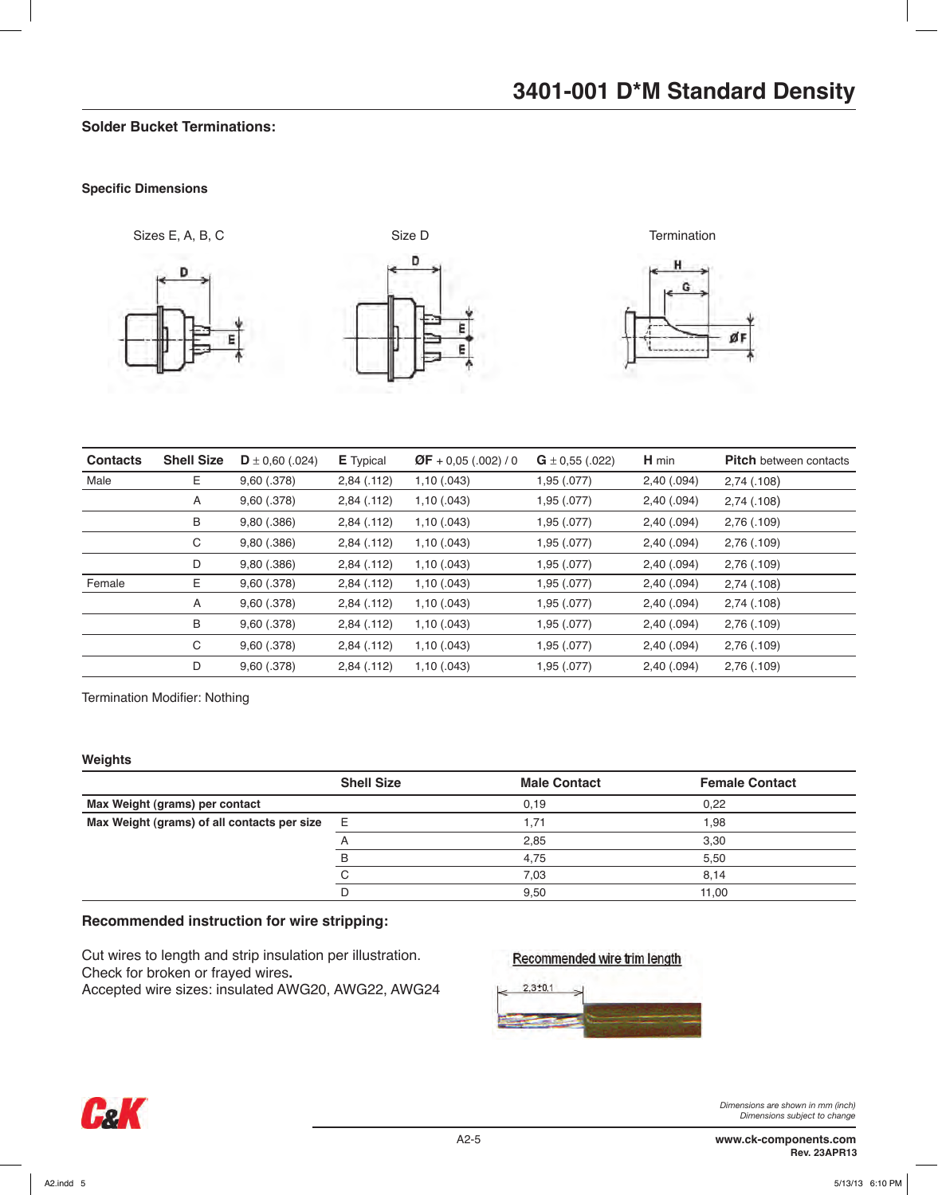#### **Solder Bucket Terminations:**

#### **Specific Dimensions**



| <b>Contacts</b> | <b>Shell Size</b> | $D \pm 0,60$ (.024) | <b>E</b> Typical | $\varnothing$ F + 0,05 (.002) / 0 | $G \pm 0.55$ (.022) | H min       | <b>Pitch</b> between contacts |
|-----------------|-------------------|---------------------|------------------|-----------------------------------|---------------------|-------------|-------------------------------|
| Male            | Е                 | 9,60 (.378)         | 2,84(.112)       | 1,10(.043)                        | 1,95 (.077)         | 2,40(.094)  | 2,74(0.108)                   |
|                 | A                 | 9,60 (.378)         | 2,84(.112)       | 1,10(.043)                        | 1,95 (.077)         | 2,40(.094)  | 2,74 (.108)                   |
|                 | B                 | 9,80 (.386)         | 2,84(.112)       | 1,10(.043)                        | 1,95 (.077)         | 2,40 (.094) | 2,76 (.109)                   |
|                 | С                 | 9,80 (.386)         | 2,84 (.112)      | 1,10(.043)                        | 1,95 (.077)         | 2,40(.094)  | 2,76 (.109)                   |
|                 | D                 | 9,80 (.386)         | $2,84$ (.112)    | 1,10(.043)                        | 1,95(.077)          | 2,40 (.094) | 2,76 (.109)                   |
| Female          | Ε                 | 9,60(.378)          | $2,84$ (.112)    | 1,10(.043)                        | 1,95 (.077)         | 2,40 (.094) | 2,74(0.108)                   |
|                 | Α                 | 9,60 (.378)         | 2,84 (.112)      | 1,10(.043)                        | 1,95 (.077)         | 2,40(.094)  | 2,74 (.108)                   |
|                 | В                 | 9,60 (.378)         | 2,84(.112)       | 1,10(.043)                        | 1,95 (.077)         | 2,40(.094)  | 2,76 (.109)                   |
|                 | С                 | 9,60 (.378)         | 2,84(.112)       | 1,10(.043)                        | 1,95 (.077)         | 2,40 (.094) | 2,76 (.109)                   |
|                 | D                 | 9,60(.378)          | $2,84$ (.112)    | 1,10(.043)                        | 1,95 (.077)         | 2,40(.094)  | 2,76 (.109)                   |

Termination Modifier: Nothing

#### **Weights**

|                                             | <b>Shell Size</b> | <b>Male Contact</b> | <b>Female Contact</b> |
|---------------------------------------------|-------------------|---------------------|-----------------------|
| Max Weight (grams) per contact              |                   | 0.19                | 0.22                  |
| Max Weight (grams) of all contacts per size | Ε                 | 1.71                | .98                   |
|                                             |                   | 2,85                | 3.30                  |
|                                             | B                 | 4.75                | 5.50                  |
|                                             |                   | 7.03                | 8.14                  |
|                                             |                   | 9.50                | 11.00                 |

#### **Recommended instruction for wire stripping:**

Cut wires to length and strip insulation per illustration. Check for broken or frayed wires**.**  Accepted wire sizes: insulated AWG20, AWG22, AWG24

#### Recommended wire trim length



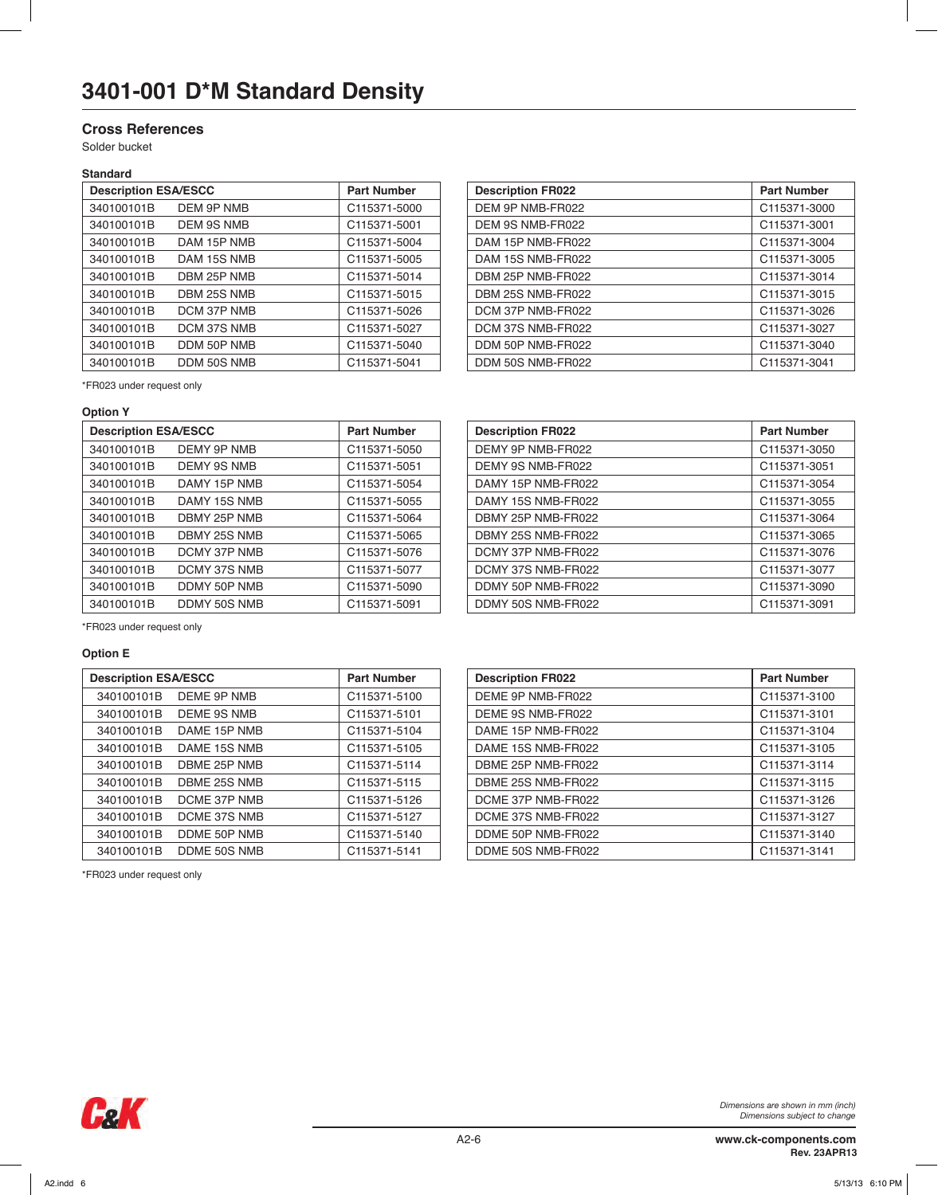#### **Cross References**

Solder bucket

#### **Standard**

| <b>Description ESA/ESCC</b> | <b>Part Number</b> |              |
|-----------------------------|--------------------|--------------|
| 340100101B                  | DEM 9P NMB         | C115371-5000 |
| 340100101B                  | DEM 9S NMB         | C115371-5001 |
| 340100101B                  | DAM 15P NMB        | C115371-5004 |
| 340100101B                  | DAM 15S NMB        | C115371-5005 |
| 340100101B                  | DBM 25P NMB        | C115371-5014 |
| 340100101B                  | DBM 25S NMB        | C115371-5015 |
| 340100101B                  | DCM 37P NMB        | C115371-5026 |
| 340100101B                  | DCM 37S NMB        | C115371-5027 |
| 340100101B                  | DDM 50P NMB        | C115371-5040 |
| 340100101B                  | DDM 50S NMB        | C115371-5041 |

| <b>Description ESA/ESCC</b> |             | <b>Part Number</b> | <b>Description FR022</b> | <b>Part Number</b> |
|-----------------------------|-------------|--------------------|--------------------------|--------------------|
| 340100101B                  | DEM 9P NMB  | C115371-5000       | DEM 9P NMB-FR022         | C115371-3000       |
| 340100101B                  | DEM 9S NMB  | C115371-5001       | DEM 9S NMB-FR022         | C115371-3001       |
| 340100101B                  | DAM 15P NMB | C115371-5004       | DAM 15P NMB-FR022        | C115371-3004       |
| 340100101B                  | DAM 15S NMB | C115371-5005       | DAM 15S NMB-FR022        | C115371-3005       |
| 340100101B                  | DBM 25P NMB | C115371-5014       | DBM 25P NMB-FR022        | C115371-3014       |
| 340100101B                  | DBM 25S NMB | C115371-5015       | DBM 25S NMB-FR022        | C115371-3015       |
| 340100101B                  | DCM 37P NMB | C115371-5026       | DCM 37P NMB-FR022        | C115371-3026       |
| 340100101B                  | DCM 37S NMB | C115371-5027       | DCM 37S NMB-FR022        | C115371-3027       |
| 340100101B                  | DDM 50P NMB | C115371-5040       | DDM 50P NMB-FR022        | C115371-3040       |
| 340100101B                  | DDM 50S NMB | C115371-5041       | DDM 50S NMB-FR022        | C115371-3041       |

\*FR023 under request only

#### **Option Y**

| <b>Description ESA/ESCC</b> |              | <b>Part Number</b> | <b>Description FR022</b> | <b>Part Number</b> |  |
|-----------------------------|--------------|--------------------|--------------------------|--------------------|--|
| 340100101B                  | DEMY 9P NMB  | C115371-5050       | DEMY 9P NMB-FR022        | C115371-3050       |  |
| 340100101B                  | DEMY 9S NMB  | C115371-5051       | DEMY 9S NMB-FR022        | C115371-3051       |  |
| 340100101B                  | DAMY 15P NMB | C115371-5054       | DAMY 15P NMB-FR022       | C115371-3054       |  |
| 340100101B                  | DAMY 15S NMB | C115371-5055       | DAMY 15S NMB-FR022       | C115371-3055       |  |
| 340100101B                  | DBMY 25P NMB | C115371-5064       | DBMY 25P NMB-FR022       | C115371-3064       |  |
| 340100101B                  | DBMY 25S NMB | C115371-5065       | DBMY 25S NMB-FR022       | C115371-3065       |  |
| 340100101B                  | DCMY 37P NMB | C115371-5076       | DCMY 37P NMB-FR022       | C115371-3076       |  |
| 340100101B                  | DCMY 37S NMB | C115371-5077       | DCMY 37S NMB-FR022       | C115371-3077       |  |
| 340100101B                  | DDMY 50P NMB | C115371-5090       | DDMY 50P NMB-FR022       | C115371-3090       |  |
| 340100101B                  | DDMY 50S NMB | C115371-5091       | DDMY 50S NMB-FR022       | C115371-3091       |  |
|                             |              |                    |                          |                    |  |

| <b>Description ESA/ESCC</b> |              | <b>Part Number</b> | <b>Description FR022</b> | <b>Part Number</b> |
|-----------------------------|--------------|--------------------|--------------------------|--------------------|
| 340100101B                  | DEMY 9P NMB  | C115371-5050       | DEMY 9P NMB-FR022        | C115371-3050       |
| 340100101B                  | DEMY 9S NMB  | C115371-5051       | DEMY 9S NMB-FR022        | C115371-3051       |
| 340100101B                  | DAMY 15P NMB | C115371-5054       | DAMY 15P NMB-FR022       | C115371-3054       |
| 340100101B                  | DAMY 15S NMB | C115371-5055       | DAMY 15S NMB-FR022       | C115371-3055       |
| 340100101B                  | DBMY 25P NMB | C115371-5064       | DBMY 25P NMB-FR022       | C115371-3064       |
| 340100101B                  | DBMY 25S NMB | C115371-5065       | DBMY 25S NMB-FR022       | C115371-3065       |
| 340100101B                  | DCMY 37P NMB | C115371-5076       | DCMY 37P NMB-FR022       | C115371-3076       |
| 340100101B                  | DCMY 37S NMB | C115371-5077       | DCMY 37S NMB-FR022       | C115371-3077       |
| 340100101B                  | DDMY 50P NMB | C115371-5090       | DDMY 50P NMB-FR022       | C115371-3090       |
| 340100101B                  | DDMY 50S NMB | C115371-5091       | DDMY 50S NMB-FR022       | C115371-3091       |

\*FR023 under request only

#### **Option E**

| <b>Description ESA/ESCC</b> | <b>Part Number</b> |              |
|-----------------------------|--------------------|--------------|
| 340100101B                  | DEME 9P NMB        | C115371-5100 |
| 340100101B                  | DEME 9S NMB        | C115371-5101 |
| 340100101B                  | DAME 15P NMB       | C115371-5104 |
| 340100101B                  | DAME 15S NMB       | C115371-5105 |
| 340100101B                  | DBME 25P NMB       | C115371-5114 |
| 340100101B                  | DBME 25S NMB       | C115371-5115 |
| 340100101B                  | DCMF 37P NMB       | C115371-5126 |
| 340100101B                  | DCME 37S NMB       | C115371-5127 |
| 340100101B                  | DDME 50P NMB       | C115371-5140 |
| 340100101B                  | DDME 50S NMB       | C115371-5141 |

| <b>Description ESA/ESCC</b> |              | <b>Part Number</b> | <b>Description FR022</b> | <b>Part Number</b> |
|-----------------------------|--------------|--------------------|--------------------------|--------------------|
| 340100101B                  | DEME 9P NMB  | C115371-5100       | DEME 9P NMB-FR022        | C115371-3100       |
| 340100101B                  | DEME 9S NMB  | C115371-5101       | DEME 9S NMB-FR022        | C115371-3101       |
| 340100101B                  | DAME 15P NMB | C115371-5104       | DAME 15P NMB-FR022       | C115371-3104       |
| 340100101B                  | DAME 15S NMB | C115371-5105       | DAME 15S NMB-FR022       | C115371-3105       |
| 340100101B                  | DBME 25P NMB | C115371-5114       | DBME 25P NMB-FR022       | C115371-3114       |
| 340100101B                  | DBME 25S NMB | C115371-5115       | DBME 25S NMB-FR022       | C115371-3115       |
| 340100101B                  | DCME 37P NMB | C115371-5126       | DCME 37P NMB-FR022       | C115371-3126       |
| 340100101B                  | DCME 37S NMB | C115371-5127       | DCME 37S NMB-FR022       | C115371-3127       |
| 340100101B                  | DDME 50P NMB | C115371-5140       | DDME 50P NMB-FR022       | C115371-3140       |
| 340100101B                  | DDME 50S NMB | C115371-5141       | DDME 50S NMB-FR022       | C115371-3141       |

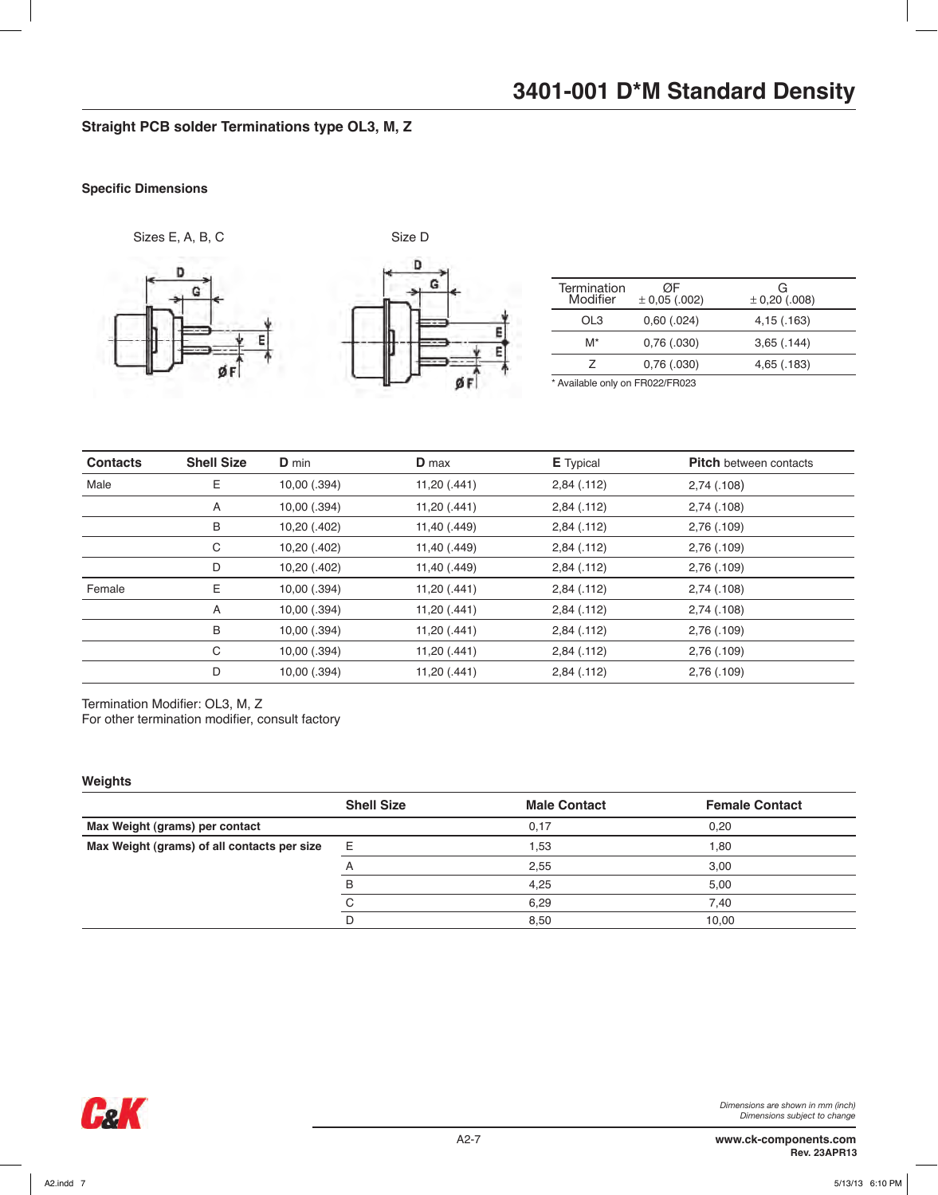### **Straight PCB solder Terminations type OL3, M, Z**

#### **Specific Dimensions**





| Termination<br>Modifier | ØF<br>± 0,05(.002) | G<br>$\pm$ 0.20 (.008) |
|-------------------------|--------------------|------------------------|
| OL 3                    | 0,60(.024)         | 4, 15 (.163)           |
| M*                      | 0,76(.030)         | 3,65(.144)             |
|                         | 0,76(.030)         | 4,65 (.183)            |
|                         |                    |                        |

\* Available only on FR022/FR023

L.

 $\overline{a}$ 

| <b>Contacts</b> | <b>Shell Size</b> | <b>D</b> min | <b>D</b> max | <b>E</b> Typical | <b>Pitch</b> between contacts |
|-----------------|-------------------|--------------|--------------|------------------|-------------------------------|
| Male            | Е                 | 10,00 (.394) | 11,20(.441)  | 2,84(.112)       | 2,74 (.108)                   |
|                 | Α                 | 10,00 (.394) | 11,20 (.441) | 2,84(.112)       | 2,74 (.108)                   |
|                 | В                 | 10,20 (.402) | 11,40 (.449) | 2,84(.112)       | 2,76 (.109)                   |
|                 | С                 | 10,20 (.402) | 11,40 (.449) | 2,84(.112)       | 2,76 (.109)                   |
|                 | D                 | 10,20 (.402) | 11,40 (.449) | $2,84$ (.112)    | 2,76 (.109)                   |
| Female          | Е                 | 10,00 (.394) | 11,20(.441)  | 2,84(.112)       | 2,74 (.108)                   |
|                 | Α                 | 10,00 (.394) | 11,20(.441)  | 2,84(.112)       | 2,74 (.108)                   |
|                 | B                 | 10,00 (.394) | 11,20(.441)  | 2,84(.112)       | 2,76 (.109)                   |
|                 | С                 | 10,00 (.394) | 11,20 (.441) | 2,84(.112)       | 2,76 (.109)                   |
|                 | D                 | 10,00 (.394) | 11,20 (.441) | 2,84(.112)       | 2,76 (.109)                   |

Termination Modifier: OL3, M, Z For other termination modifier, consult factory

|                                             | <b>Shell Size</b> | <b>Male Contact</b> | <b>Female Contact</b> |
|---------------------------------------------|-------------------|---------------------|-----------------------|
| Max Weight (grams) per contact              |                   | 0.17                | 0,20                  |
| Max Weight (grams) of all contacts per size | E                 | 1,53                | 1,80                  |
|                                             |                   | 2.55                | 3.00                  |
|                                             | В                 | 4,25                | 5,00                  |
|                                             |                   | 6,29                | 7.40                  |
|                                             |                   | 8,50                | 10.00                 |

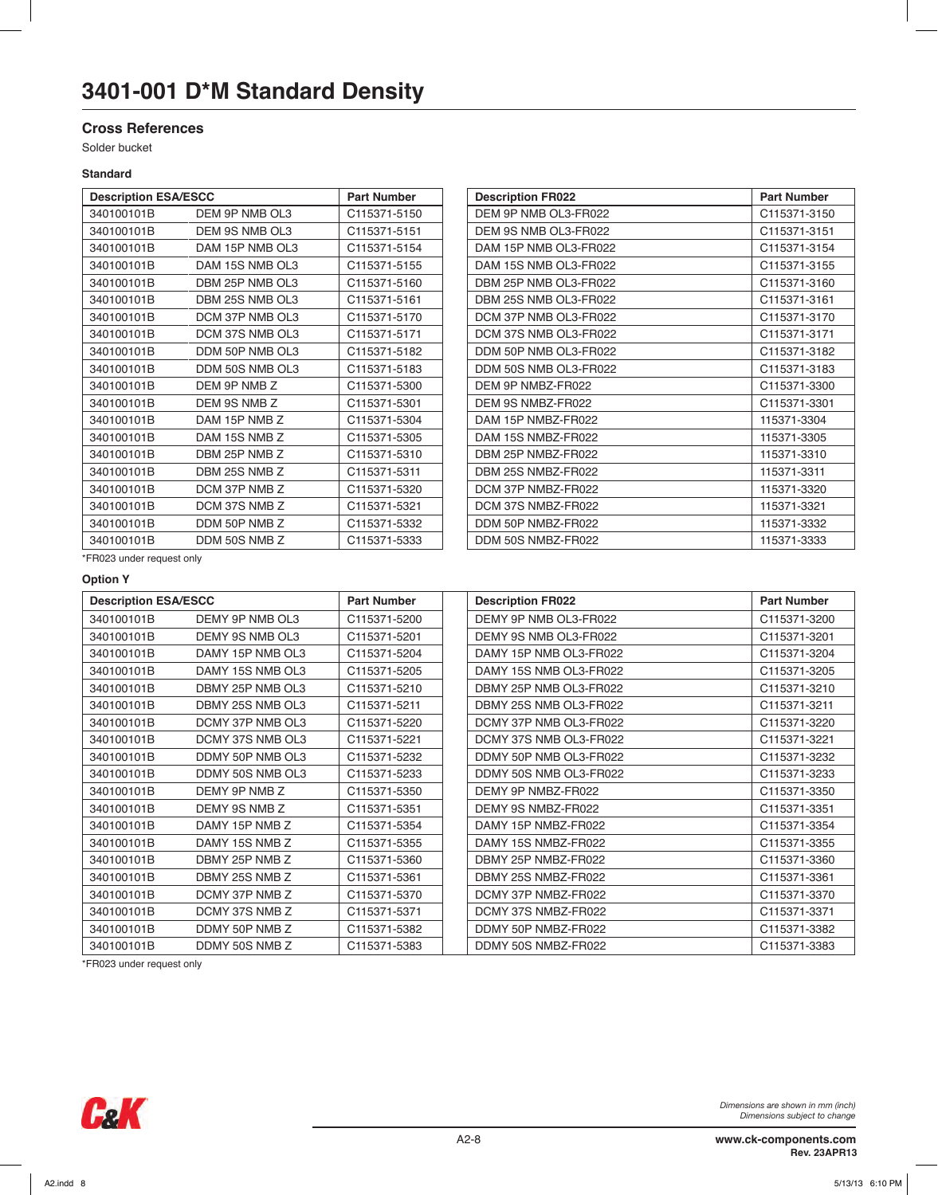#### **Cross References**

Solder bucket

#### **Standard**

|            | <b>Description ESA/ESCC</b> |              |  |  |
|------------|-----------------------------|--------------|--|--|
| 340100101B | DEM 9P NMB OL3              | C115371-5150 |  |  |
| 340100101B | DEM 9S NMB OL3              | C115371-5151 |  |  |
| 340100101B | DAM 15P NMB OL3             | C115371-5154 |  |  |
| 340100101B | DAM 15S NMB OL3             | C115371-5155 |  |  |
| 340100101B | DBM 25P NMB OL3             | C115371-5160 |  |  |
| 340100101B | DBM 25S NMB OL3             | C115371-5161 |  |  |
| 340100101B | DCM 37P NMB OL3             | C115371-5170 |  |  |
| 340100101B | DCM 37S NMB OL3             | C115371-5171 |  |  |
| 340100101B | DDM 50P NMB OL3             | C115371-5182 |  |  |
| 340100101B | DDM 50S NMB OL3             | C115371-5183 |  |  |
| 340100101B | DEM 9P NMB Z                | C115371-5300 |  |  |
| 340100101B | DEM 9S NMB Z                | C115371-5301 |  |  |
| 340100101B | DAM 15P NMB Z               | C115371-5304 |  |  |
| 340100101B | DAM 15S NMB Z               | C115371-5305 |  |  |
| 340100101B | DBM 25P NMB Z               | C115371-5310 |  |  |
| 340100101B | DBM 25S NMB Z               | C115371-5311 |  |  |
| 340100101B | DCM 37P NMB Z               | C115371-5320 |  |  |
| 340100101B | DCM 37S NMB Z               | C115371-5321 |  |  |
| 340100101B | DDM 50P NMB Z               | C115371-5332 |  |  |
| 340100101B | DDM 50S NMB Z               | C115371-5333 |  |  |

| <b>Description ESA/ESCC</b> |                 | <b>Part Number</b> | <b>Description FR022</b> | <b>Part Number</b> |
|-----------------------------|-----------------|--------------------|--------------------------|--------------------|
| 340100101B                  | DEM 9P NMB OL3  | C115371-5150       | DEM 9P NMB OL3-FR022     | C115371-3150       |
| 340100101B                  | DEM 9S NMB OL3  | C115371-5151       | DEM 9S NMB OL3-FR022     | C115371-3151       |
| 340100101B                  | DAM 15P NMB OL3 | C115371-5154       | DAM 15P NMB OL3-FR022    | C115371-3154       |
| 340100101B                  | DAM 15S NMB OL3 | C115371-5155       | DAM 15S NMB OL3-FR022    | C115371-3155       |
| 340100101B                  | DBM 25P NMB OL3 | C115371-5160       | DBM 25P NMB OL3-FR022    | C115371-3160       |
| 340100101B                  | DBM 25S NMB OL3 | C115371-5161       | DBM 25S NMB OL3-FR022    | C115371-3161       |
| 340100101B                  | DCM 37P NMB OL3 | C115371-5170       | DCM 37P NMB OL3-FR022    | C115371-3170       |
| 340100101B                  | DCM 37S NMB OL3 | C115371-5171       | DCM 37S NMB OL3-FR022    | C115371-3171       |
| 340100101B                  | DDM 50P NMB OL3 | C115371-5182       | DDM 50P NMB OL3-FR022    | C115371-3182       |
| 340100101B                  | DDM 50S NMB OL3 | C115371-5183       | DDM 50S NMB OL3-FR022    | C115371-3183       |
| 340100101B                  | DEM 9P NMB Z    | C115371-5300       | DEM 9P NMBZ-FR022        | C115371-3300       |
| 340100101B                  | DEM 9S NMB Z    | C115371-5301       | DEM 9S NMBZ-FR022        | C115371-3301       |
| 340100101B                  | DAM 15P NMB Z   | C115371-5304       | DAM 15P NMBZ-FR022       | 115371-3304        |
| 340100101B                  | DAM 15S NMB Z   | C115371-5305       | DAM 15S NMBZ-FR022       | 115371-3305        |
| 340100101B                  | DBM 25P NMB Z   | C115371-5310       | DBM 25P NMBZ-FR022       | 115371-3310        |
| 340100101B                  | DBM 25S NMB Z   | C115371-5311       | DBM 25S NMBZ-FR022       | 115371-3311        |
| 340100101B                  | DCM 37P NMB Z   | C115371-5320       | DCM 37P NMBZ-FR022       | 115371-3320        |
| 340100101B                  | DCM 37S NMB Z   | C115371-5321       | DCM 37S NMBZ-FR022       | 115371-3321        |
| 340100101B                  | DDM 50P NMB Z   | C115371-5332       | DDM 50P NMBZ-FR022       | 115371-3332        |
| 340100101B                  | DDM 50S NMB Z   | C115371-5333       | DDM 50S NMBZ-FR022       | 115371-3333        |

\*FR023 under request only

#### **Option Y**

| <b>Description ESA/ESCC</b> |                  | <b>Part Number</b> | <b>Description FR022</b> | <b>Part Number</b> |
|-----------------------------|------------------|--------------------|--------------------------|--------------------|
| 340100101B                  | DEMY 9P NMB OL3  | C115371-5200       | DEMY 9P NMB OL3-FR022    | C115371-3200       |
| 340100101B                  | DEMY 9S NMB OL3  | C115371-5201       | DEMY 9S NMB OL3-FR022    | C115371-3201       |
| 340100101B                  | DAMY 15P NMB OL3 | C115371-5204       | DAMY 15P NMB OL3-FR022   | C115371-3204       |
| 340100101B                  | DAMY 15S NMB OL3 | C115371-5205       | DAMY 15S NMB OL3-FR022   | C115371-3205       |
| 340100101B                  | DBMY 25P NMB OL3 | C115371-5210       | DBMY 25P NMB OL3-FR022   | C115371-3210       |
| 340100101B                  | DBMY 25S NMB OL3 | C115371-5211       | DBMY 25S NMB OL3-FR022   | C115371-3211       |
| 340100101B                  | DCMY 37P NMB OL3 | C115371-5220       | DCMY 37P NMB OL3-FR022   | C115371-3220       |
| 340100101B                  | DCMY 37S NMB OL3 | C115371-5221       | DCMY 37S NMB OL3-FR022   | C115371-3221       |
| 340100101B                  | DDMY 50P NMB OL3 | C115371-5232       | DDMY 50P NMB OL3-FR022   | C115371-3232       |
| 340100101B                  | DDMY 50S NMB OL3 | C115371-5233       | DDMY 50S NMB OL3-FR022   | C115371-3233       |
| 340100101B                  | DEMY 9P NMB Z    | C115371-5350       | DEMY 9P NMBZ-FR022       | C115371-3350       |
| 340100101B                  | DEMY 9S NMB Z    | C115371-5351       | DEMY 9S NMBZ-FR022       | C115371-3351       |
| 340100101B                  | DAMY 15P NMB Z   | C115371-5354       | DAMY 15P NMBZ-FR022      | C115371-3354       |
| 340100101B                  | DAMY 15S NMB Z   | C115371-5355       | DAMY 15S NMBZ-FR022      | C115371-3355       |
| 340100101B                  | DBMY 25P NMB Z   | C115371-5360       | DBMY 25P NMBZ-FR022      | C115371-3360       |
| 340100101B                  | DBMY 25S NMB Z   | C115371-5361       | DBMY 25S NMBZ-FR022      | C115371-3361       |
| 340100101B                  | DCMY 37P NMB Z   | C115371-5370       | DCMY 37P NMBZ-FR022      | C115371-3370       |
| 340100101B                  | DCMY 37S NMB Z   | C115371-5371       | DCMY 37S NMBZ-FR022      | C115371-3371       |
| 340100101B                  | DDMY 50P NMB Z   | C115371-5382       | DDMY 50P NMBZ-FR022      | C115371-3382       |
| 340100101B                  | DDMY 50S NMB Z   | C115371-5383       | DDMY 50S NMBZ-FR022      | C115371-3383       |

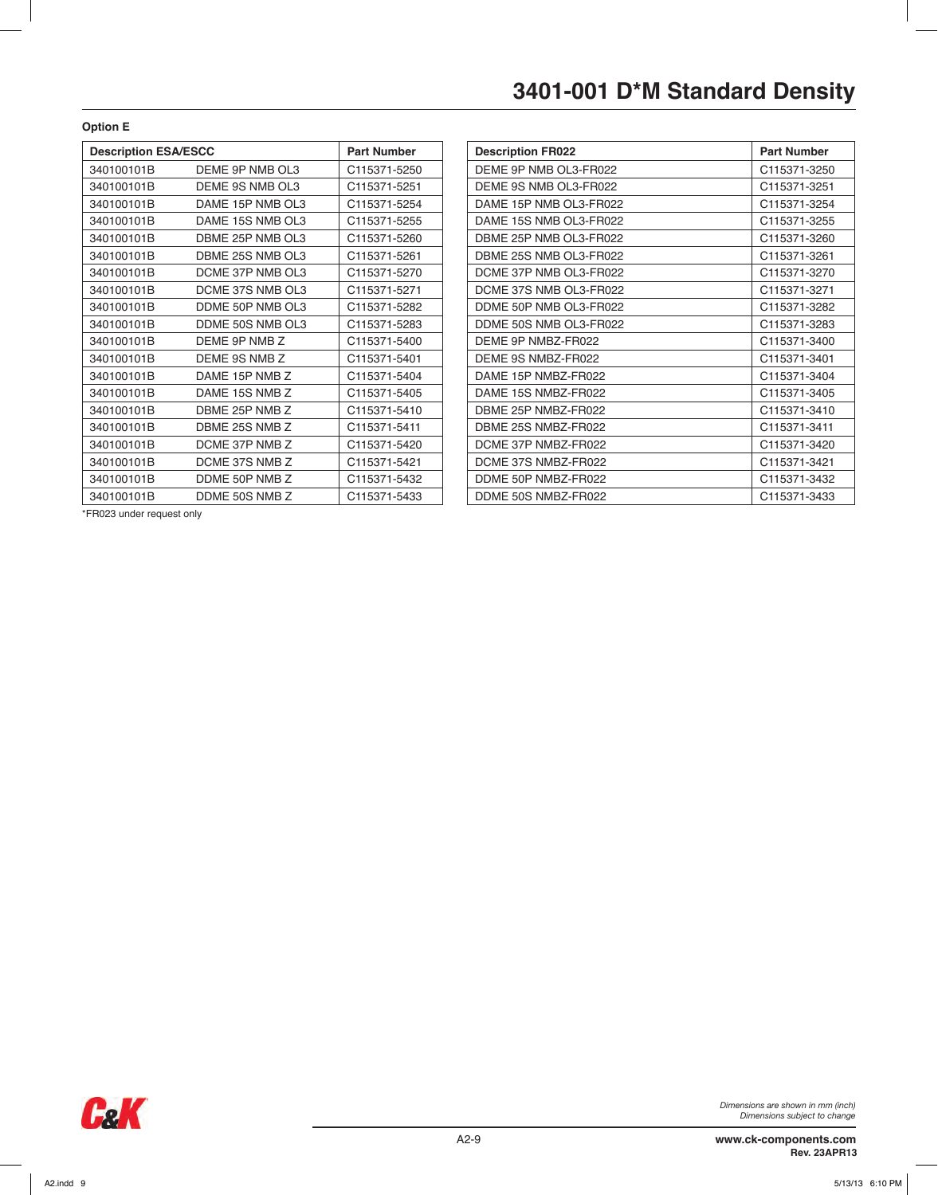#### **Option E**

|            | <b>Description ESA/ESCC</b> |              |  |  |  |  |
|------------|-----------------------------|--------------|--|--|--|--|
| 340100101B | DEME 9P NMB OL3             | C115371-5250 |  |  |  |  |
| 340100101B | DEME 9S NMB OL3             | C115371-5251 |  |  |  |  |
| 340100101B | DAME 15P NMB OL3            | C115371-5254 |  |  |  |  |
| 340100101B | DAME 15S NMB OL3            | C115371-5255 |  |  |  |  |
| 340100101B | DBME 25P NMB OL3            | C115371-5260 |  |  |  |  |
| 340100101B | DBME 25S NMB OL3            | C115371-5261 |  |  |  |  |
| 340100101B | DCME 37P NMB OL3            | C115371-5270 |  |  |  |  |
| 340100101B | DCME 37S NMB OL3            | C115371-5271 |  |  |  |  |
| 340100101B | DDME 50P NMB OL3            | C115371-5282 |  |  |  |  |
| 340100101B | DDME 50S NMB OL3            | C115371-5283 |  |  |  |  |
| 340100101B | DEME 9P NMB Z               | C115371-5400 |  |  |  |  |
| 340100101B | DEME 9S NMB Z               | C115371-5401 |  |  |  |  |
| 340100101B | DAME 15P NMB Z              | C115371-5404 |  |  |  |  |
| 340100101B | DAME 15S NMB Z              | C115371-5405 |  |  |  |  |
| 340100101B | DBME 25P NMB Z              | C115371-5410 |  |  |  |  |
| 340100101B | DBME 25S NMB Z              | C115371-5411 |  |  |  |  |
| 340100101B | DCME 37P NMB Z              | C115371-5420 |  |  |  |  |
| 340100101B | DCME 37S NMB Z              | C115371-5421 |  |  |  |  |
| 340100101B | DDME 50P NMB Z              | C115371-5432 |  |  |  |  |
| 340100101B | DDME 50S NMB Z              | C115371-5433 |  |  |  |  |

| <b>Description ESA/ESCC</b> |                  | <b>Part Number</b> | <b>Description FR022</b> | <b>Part Number</b> |
|-----------------------------|------------------|--------------------|--------------------------|--------------------|
| 340100101B                  | DEME 9P NMB OL3  | C115371-5250       | DEME 9P NMB OL3-FR022    | C115371-3250       |
| 340100101B                  | DEME 9S NMB OL3  | C115371-5251       | DEME 9S NMB OL3-FR022    | C115371-3251       |
| 340100101B                  | DAME 15P NMB OL3 | C115371-5254       | DAME 15P NMB OL3-FR022   | C115371-3254       |
| 340100101B                  | DAME 15S NMB OL3 | C115371-5255       | DAME 15S NMB OL3-FR022   | C115371-3255       |
| 340100101B                  | DBME 25P NMB OL3 | C115371-5260       | DBME 25P NMB OL3-FR022   | C115371-3260       |
| 340100101B                  | DBME 25S NMB OL3 | C115371-5261       | DBME 25S NMB OL3-FR022   | C115371-3261       |
| 340100101B                  | DCME 37P NMB OL3 | C115371-5270       | DCME 37P NMB OL3-FR022   | C115371-3270       |
| 340100101B                  | DCME 37S NMB OL3 | C115371-5271       | DCME 37S NMB OL3-FR022   | C115371-3271       |
| 340100101B                  | DDME 50P NMB OL3 | C115371-5282       | DDME 50P NMB OL3-FR022   | C115371-3282       |
| 340100101B                  | DDME 50S NMB OL3 | C115371-5283       | DDME 50S NMB OL3-FR022   | C115371-3283       |
| 340100101B                  | DEME 9P NMB Z    | C115371-5400       | DEME 9P NMBZ-FR022       | C115371-3400       |
| 340100101B                  | DEME 9S NMB Z    | C115371-5401       | DEME 9S NMBZ-FR022       | C115371-3401       |
| 340100101B                  | DAME 15P NMB Z   | C115371-5404       | DAME 15P NMBZ-FR022      | C115371-3404       |
| 340100101B                  | DAME 15S NMB Z   | C115371-5405       | DAME 15S NMBZ-FR022      | C115371-3405       |
| 340100101B                  | DBME 25P NMB Z   | C115371-5410       | DBME 25P NMBZ-FR022      | C115371-3410       |
| 340100101B                  | DBME 25S NMB Z   | C115371-5411       | DBME 25S NMBZ-FR022      | C115371-3411       |
| 340100101B                  | DCME 37P NMB Z   | C115371-5420       | DCME 37P NMBZ-FR022      | C115371-3420       |
| 340100101B                  | DCME 37S NMB Z   | C115371-5421       | DCME 37S NMBZ-FR022      | C115371-3421       |
| 340100101B                  | DDME 50P NMB Z   | C115371-5432       | DDME 50P NMBZ-FR022      | C115371-3432       |
| 340100101B                  | DDME 50S NMB Z   | C115371-5433       | DDME 50S NMBZ-FR022      | C115371-3433       |
|                             |                  |                    |                          |                    |

\*FR023 under request only

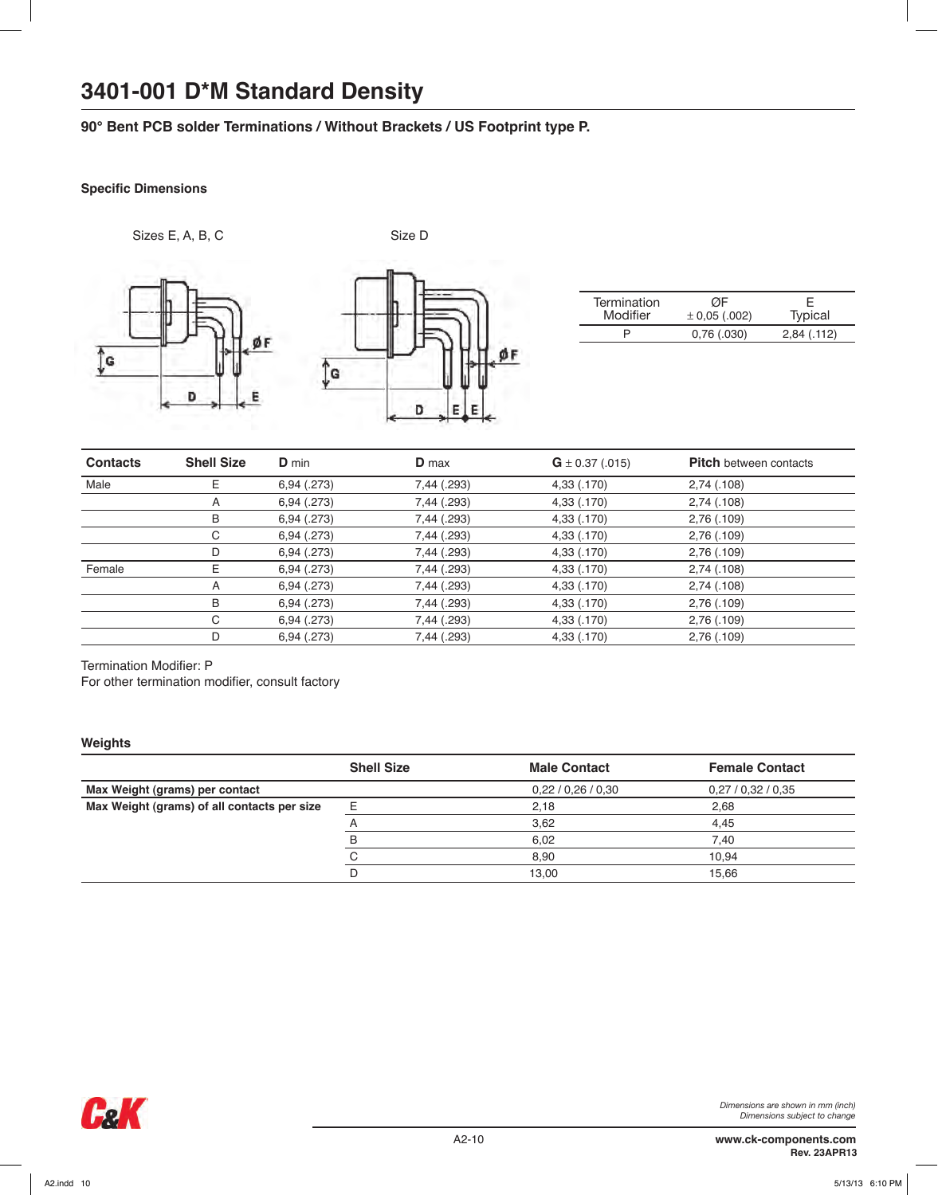#### **90° Bent PCB solder Terminations / Without Brackets / US Footprint type P.**

#### **Specific Dimensions**

Sizes E, A, B, C Size D







**Termination Modifier** ØF ± 0,05 (.002) E Typical P 0,76 (.030) 2,84 (.112)

| <b>Contacts</b> | <b>Shell Size</b> | D min       | <b>D</b> max | $G \pm 0.37$ (.015) | <b>Pitch</b> between contacts |
|-----------------|-------------------|-------------|--------------|---------------------|-------------------------------|
| Male            | Е                 | 6,94(.273)  | 7,44 (.293)  | 4,33 (.170)         | 2,74 (.108)                   |
|                 | A                 | 6,94(.273)  | 7,44 (.293)  | 4,33 (.170)         | 2,74 (.108)                   |
|                 | B                 | 6,94(.273)  | 7,44 (.293)  | 4,33 (.170)         | 2,76 (.109)                   |
|                 | C                 | 6,94(.273)  | 7,44 (.293)  | 4,33 (.170)         | 2,76 (.109)                   |
|                 | D                 | 6,94 (.273) | 7,44 (.293)  | 4,33 (.170)         | 2,76 (.109)                   |
| Female          | Е                 | 6,94(.273)  | 7,44 (.293)  | 4,33 (.170)         | 2,74 (.108)                   |
|                 | A                 | 6,94(.273)  | 7,44 (.293)  | 4,33 (.170)         | 2,74 (.108)                   |
|                 | B                 | 6,94(.273)  | 7,44 (.293)  | 4,33 (.170)         | 2,76 (.109)                   |
|                 | С                 | 6,94(.273)  | 7,44 (.293)  | 4,33 (.170)         | 2,76 (.109)                   |
|                 | D                 | 6,94(.273)  | 7,44 (.293)  | 4,33 (.170)         | 2,76 (.109)                   |

Termination Modifier: P

For other termination modifier, consult factory

|                                             | <b>Shell Size</b> | <b>Male Contact</b> | <b>Female Contact</b> |
|---------------------------------------------|-------------------|---------------------|-----------------------|
| Max Weight (grams) per contact              |                   | 0,22/0,26/0,30      | 0,27/0,32/0,35        |
| Max Weight (grams) of all contacts per size | F                 | 2.18                | 2,68                  |
|                                             | A                 | 3,62                | 4.45                  |
|                                             | B                 | 6.02                | 7.40                  |
|                                             | C                 | 8.90                | 10.94                 |
|                                             | D                 | 13.00               | 15.66                 |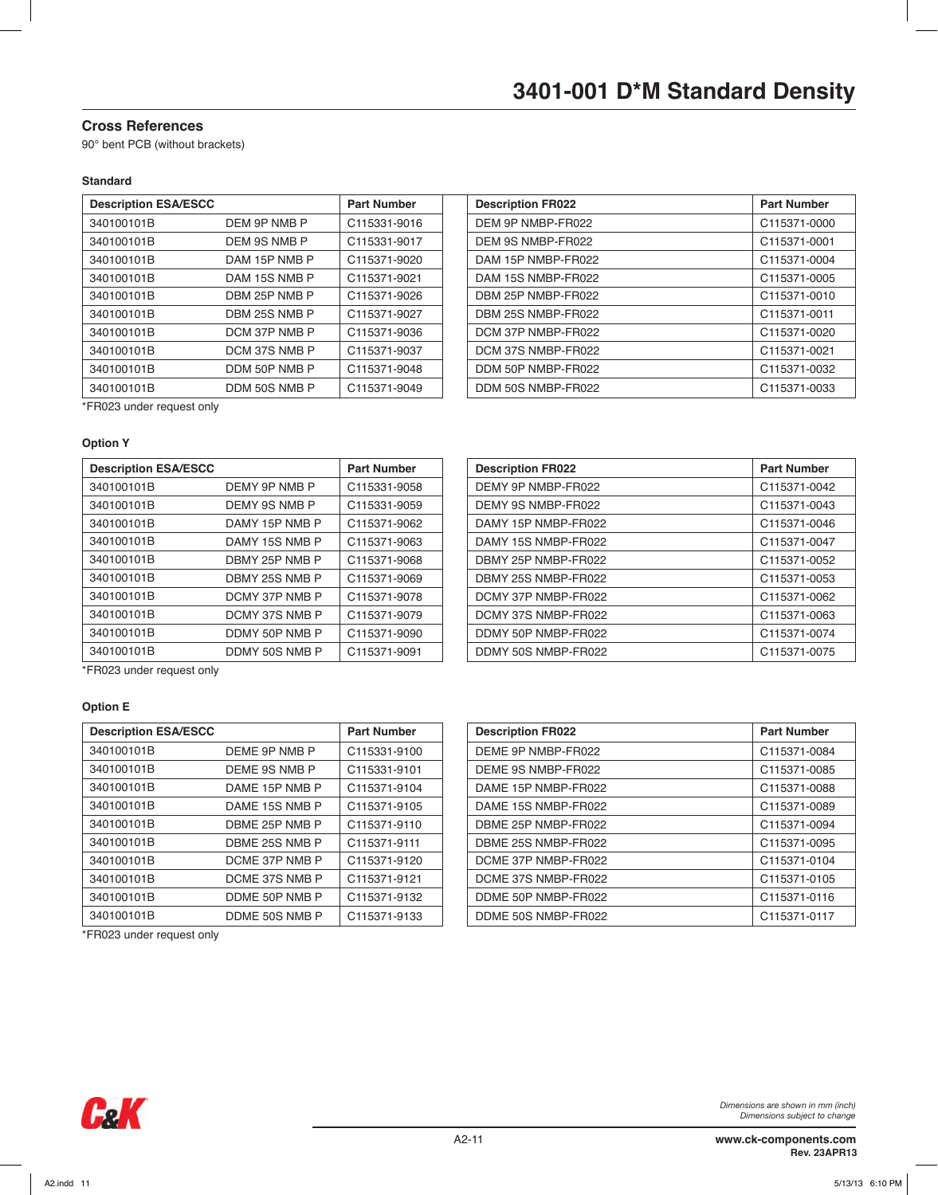#### **Cross References**

90° bent PCB (without brackets)

#### **Standard**

| <b>Description ESA/ESCC</b> |               | <b>Part Number</b>       |
|-----------------------------|---------------|--------------------------|
| 340100101B                  | DEM 9P NMB P  | C115331-9016             |
| 340100101B                  | DEM 9S NMB P  | C115331-9017             |
| 340100101B                  | DAM 15P NMB P | C115371-9020             |
| 340100101B                  | DAM 15S NMB P | C115371-9021             |
| 340100101B                  | DBM 25P NMB P | C115371-9026             |
| 340100101B                  | DBM 25S NMB P | C <sub>115371-9027</sub> |
| 340100101B                  | DCM 37P NMB P | C115371-9036             |
| 340100101B                  | DCM 37S NMB P | C115371-9037             |
| 340100101B                  | DDM 50P NMB P | C115371-9048             |
| 340100101B                  | DDM 50S NMB P | C115371-9049             |

| <b>Description ESA/ESCC</b> |               | <b>Part Number</b> | <b>Description FR022</b> | <b>Part Number</b> |
|-----------------------------|---------------|--------------------|--------------------------|--------------------|
| 340100101B                  | DEM 9P NMB P  | C115331-9016       | DEM 9P NMBP-FR022        | C115371-0000       |
| 340100101B                  | DEM 9S NMB P  | C115331-9017       | DEM 9S NMBP-FR022        | C115371-0001       |
| 340100101B                  | DAM 15P NMB P | C115371-9020       | DAM 15P NMBP-FR022       | C115371-0004       |
| 340100101B                  | DAM 15S NMB P | C115371-9021       | DAM 15S NMBP-FR022       | C115371-0005       |
| 340100101B                  | DBM 25P NMB P | C115371-9026       | DBM 25P NMBP-FR022       | C115371-0010       |
| 340100101B                  | DBM 25S NMB P | C115371-9027       | DBM 25S NMBP-FR022       | C115371-0011       |
| 340100101B                  | DCM 37P NMB P | C115371-9036       | DCM 37P NMBP-FR022       | C115371-0020       |
| 340100101B                  | DCM 37S NMB P | C115371-9037       | DCM 37S NMBP-FR022       | C115371-0021       |
| 340100101B                  | DDM 50P NMB P | C115371-9048       | DDM 50P NMBP-FR022       | C115371-0032       |
| 340100101B                  | DDM 50S NMB P | C115371-9049       | DDM 50S NMBP-FR022       | C115371-0033       |
|                             |               |                    |                          |                    |

\*FR023 under request only

#### **Option Y**

| <b>Description ESA/ESCC</b> |                | <b>Part Number</b>       |
|-----------------------------|----------------|--------------------------|
| 340100101B                  | DEMY 9P NMB P  | C115331-9058             |
| 340100101B                  | DEMY 9S NMB P  | C115331-9059             |
| 340100101B                  | DAMY 15P NMB P | C <sub>115371-9062</sub> |
| 340100101B                  | DAMY 15S NMB P | C115371-9063             |
| 340100101B                  | DBMY 25P NMB P | C <sub>115371-9068</sub> |
| 340100101B                  | DBMY 25S NMB P | C115371-9069             |
| 340100101B                  | DCMY 37P NMB P | C115371-9078             |
| 340100101B                  | DCMY 37S NMB P | C115371-9079             |
| 340100101B                  | DDMY 50P NMB P | C115371-9090             |
| 340100101B                  | DDMY 50S NMB P | C <sub>115371-9091</sub> |

| <b>Description ESA/ESCC</b> |                | <b>Part Number</b> | <b>Description FR022</b> | <b>Part Number</b> |
|-----------------------------|----------------|--------------------|--------------------------|--------------------|
| 340100101B                  | DEMY 9P NMB P  | C115331-9058       | DEMY 9P NMBP-FR022       | C115371-0042       |
| 340100101B                  | DEMY 9S NMB P  | C115331-9059       | DEMY 9S NMBP-FR022       | C115371-0043       |
| 340100101B                  | DAMY 15P NMB P | C115371-9062       | DAMY 15P NMBP-FR022      | C115371-0046       |
| 340100101B                  | DAMY 15S NMB P | C115371-9063       | DAMY 15S NMBP-FR022      | C115371-0047       |
| 340100101B                  | DBMY 25P NMB P | C115371-9068       | DBMY 25P NMBP-FR022      | C115371-0052       |
| 340100101B                  | DBMY 25S NMB P | C115371-9069       | DBMY 25S NMBP-FR022      | C115371-0053       |
| 340100101B                  | DCMY 37P NMB P | C115371-9078       | DCMY 37P NMBP-FR022      | C115371-0062       |
| 340100101B                  | DCMY 37S NMB P | C115371-9079       | DCMY 37S NMBP-FR022      | C115371-0063       |
| 340100101B                  | DDMY 50P NMB P | C115371-9090       | DDMY 50P NMBP-FR022      | C115371-0074       |
| 340100101B                  | DDMY 50S NMB P | C115371-9091       | DDMY 50S NMBP-FR022      | C115371-0075       |

\*FR023 under request only

#### **Option E**

| <b>Description ESA/ESCC</b> |                | <b>Part Number</b> |
|-----------------------------|----------------|--------------------|
| 340100101B                  | DEME 9P NMB P  | C115331-9100       |
| 340100101B                  | DEME 9S NMB P  | C115331-9101       |
| 340100101B                  | DAME 15P NMB P | C115371-9104       |
| 340100101B                  | DAME 15S NMB P | C115371-9105       |
| 340100101B                  | DBME 25P NMB P | C115371-9110       |
| 340100101B                  | DBME 25S NMB P | C115371-9111       |
| 340100101B                  | DCME 37P NMB P | C115371-9120       |
| 340100101B                  | DCME 37S NMB P | C115371-9121       |
| 340100101B                  | DDME 50P NMB P | C115371-9132       |
| 340100101B                  | DDME 50S NMB P | C115371-9133       |

| 340100101B<br>DEME 9P NMB P<br>C115331-9100<br>DEME 9P NMBP-FR022<br>C115371-0084<br>340100101B<br>DEME 9S NMBP-FR022<br>DEME 9S NMB P<br>C115331-9101<br>C115371-0085<br>340100101B<br>DAME 15P NMB P<br>DAME 15P NMBP-FR022<br>C115371-0088<br>C115371-9104<br>340100101B<br>DAME 15S NMBP-FR022<br>DAME 15S NMB P<br>C115371-0089<br>C115371-9105 | <b>Part Number</b> |
|------------------------------------------------------------------------------------------------------------------------------------------------------------------------------------------------------------------------------------------------------------------------------------------------------------------------------------------------------|--------------------|
|                                                                                                                                                                                                                                                                                                                                                      |                    |
|                                                                                                                                                                                                                                                                                                                                                      |                    |
|                                                                                                                                                                                                                                                                                                                                                      |                    |
|                                                                                                                                                                                                                                                                                                                                                      |                    |
| 340100101B<br>C115371-0094<br>DBME 25P NMB P<br>C115371-9110<br>DBME 25P NMBP-FR022                                                                                                                                                                                                                                                                  |                    |
| 340100101B<br>DBME 25S NMB P<br>C115371-9111<br>DBME 25S NMBP-FR022<br>C115371-0095                                                                                                                                                                                                                                                                  |                    |
| 340100101B<br>DCME 37P NMB P<br>C115371-9120<br>DCME 37P NMBP-FR022<br>C115371-0104                                                                                                                                                                                                                                                                  |                    |
| 340100101B<br>DCME 37S NMB P<br>C115371-9121<br>DCME 37S NMBP-FR022<br>C115371-0105                                                                                                                                                                                                                                                                  |                    |
| 340100101B<br>DDME 50P NMB P<br>C115371-9132<br>DDME 50P NMBP-FR022<br>C115371-0116                                                                                                                                                                                                                                                                  |                    |
| 340100101B<br>DDME 50S NMB P<br>DDME 50S NMBP-FR022<br>C115371-9133<br>C115371-0117                                                                                                                                                                                                                                                                  |                    |

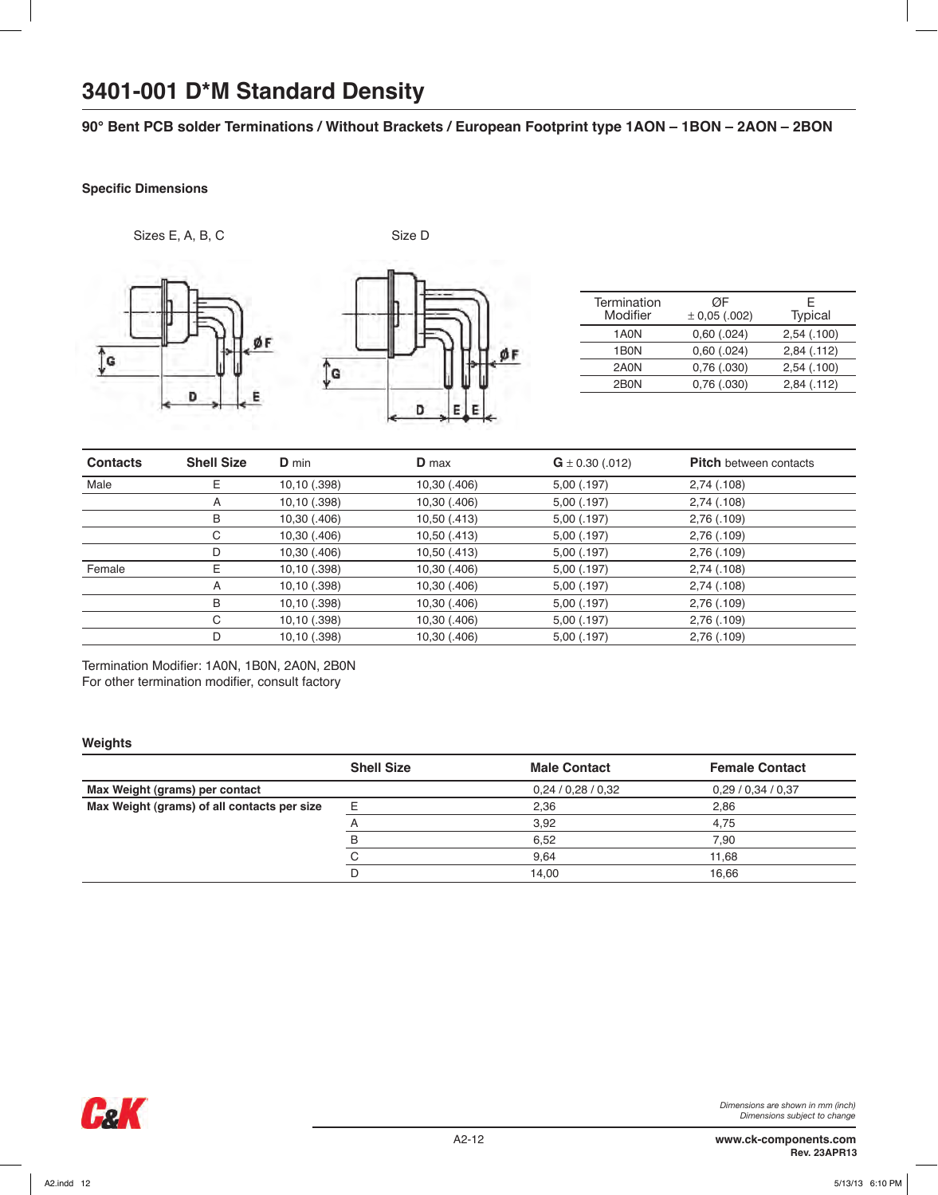#### **90° Bent PCB solder Terminations / Without Brackets / European Footprint type 1AON – 1BON – 2AON – 2BON**

#### **Specific Dimensions**

Sizes E, A, B, C Size D







| Termination<br>Modifier | ØF<br>± 0,05(.002) | F<br><b>Typical</b> |
|-------------------------|--------------------|---------------------|
| 1A0N                    | $0,60$ $(.024)$    | 2,54(.100)          |
| 1B <sub>0</sub> N       | $0,60$ $(.024)$    | $2,84$ (.112)       |
| 2A0N                    | 0,76(.030)         | 2,54(.100)          |
| 2B <sub>0</sub> N       | 0,76(.030)         | $2,84$ (.112)       |
|                         |                    |                     |

| <b>Contacts</b> | <b>Shell Size</b> | <b>D</b> min | <b>D</b> max | $G \pm 0.30$ (.012) | <b>Pitch</b> between contacts |
|-----------------|-------------------|--------------|--------------|---------------------|-------------------------------|
| Male            | Е                 | 10,10 (.398) | 10,30 (.406) | 5,00(.197)          | 2,74 (.108)                   |
|                 | A                 | 10,10 (.398) | 10,30 (.406) | 5,00(.197)          | 2,74 (.108)                   |
|                 | B                 | 10,30 (.406) | 10,50 (.413) | 5,00(.197)          | 2,76 (.109)                   |
|                 | С                 | 10,30 (.406) | 10,50 (.413) | 5,00(.197)          | 2,76 (.109)                   |
|                 | D                 | 10,30 (.406) | 10,50 (.413) | 5,00(.197)          | 2,76 (.109)                   |
| Female          | Е                 | 10,10 (.398) | 10,30 (.406) | 5,00(.197)          | 2,74 (.108)                   |
|                 | A                 | 10,10 (.398) | 10,30 (.406) | 5,00(.197)          | 2,74 (.108)                   |
|                 | B                 | 10,10 (.398) | 10,30 (.406) | 5,00(.197)          | 2,76 (.109)                   |
|                 | С                 | 10,10 (.398) | 10,30 (.406) | 5,00(.197)          | 2,76 (.109)                   |
|                 | D                 | 10,10 (.398) | 10,30 (.406) | 5,00(.197)          | 2,76 (.109)                   |

Termination Modifier: 1A0N, 1B0N, 2A0N, 2B0N For other termination modifier, consult factory

|                                             | <b>Shell Size</b> | <b>Male Contact</b> | <b>Female Contact</b> |
|---------------------------------------------|-------------------|---------------------|-----------------------|
| Max Weight (grams) per contact              |                   | 0,24/0,28/0,32      | 0.29 / 0.34 / 0.37    |
| Max Weight (grams) of all contacts per size | F                 | 2.36                | 2.86                  |
|                                             |                   | 3,92                | 4,75                  |
|                                             | B                 | 6,52                | 7.90                  |
|                                             | C                 | 9.64                | 11.68                 |
|                                             | D                 | 14.00               | 16.66                 |
|                                             |                   |                     |                       |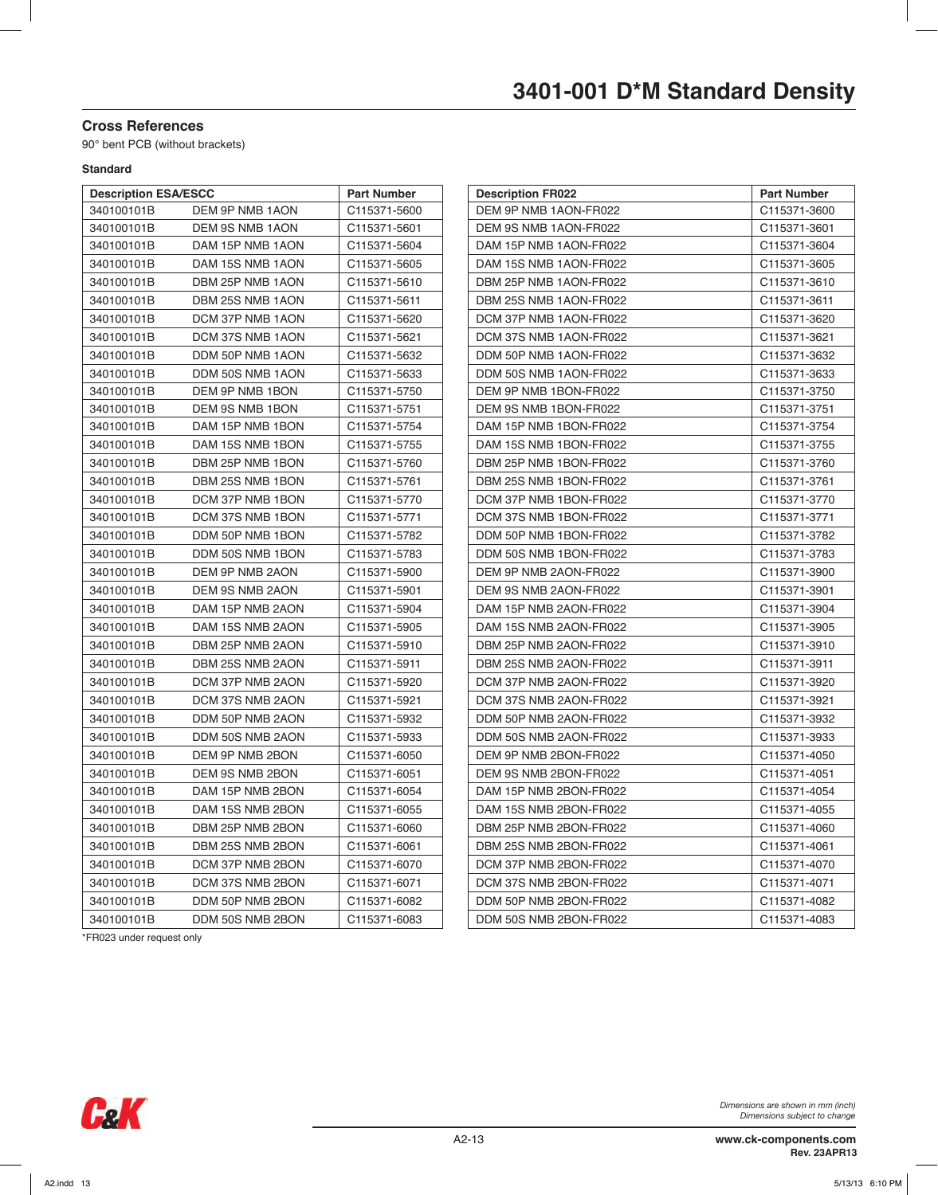#### **Cross References**

90° bent PCB (without brackets)

#### **Standard**

| <b>Description ESA/ESCC</b> |                  | <b>Part Number</b> | <b>Description FR022</b> | <b>Part Number</b> |
|-----------------------------|------------------|--------------------|--------------------------|--------------------|
| 340100101B                  | DEM 9P NMB 1AON  | C115371-5600       | DEM 9P NMB 1AON-FR022    | C115371-3600       |
| 340100101B                  | DEM 9S NMB 1AON  | C115371-5601       | DEM 9S NMB 1AON-FR022    | C115371-3601       |
| 340100101B                  | DAM 15P NMB 1AON | C115371-5604       | DAM 15P NMB 1AON-FR022   | C115371-3604       |
| 340100101B                  | DAM 15S NMB 1AON | C115371-5605       | DAM 15S NMB 1AON-FR022   | C115371-3605       |
| 340100101B                  | DBM 25P NMB 1AON | C115371-5610       | DBM 25P NMB 1AON-FR022   | C115371-3610       |
| 340100101B                  | DBM 25S NMB 1AON | C115371-5611       | DBM 25S NMB 1AON-FR022   | C115371-3611       |
| 340100101B                  | DCM 37P NMB 1AON | C115371-5620       | DCM 37P NMB 1AON-FR022   | C115371-3620       |
| 340100101B                  | DCM 37S NMB 1AON | C115371-5621       | DCM 37S NMB 1AON-FR022   | C115371-3621       |
| 340100101B                  | DDM 50P NMB 1AON | C115371-5632       | DDM 50P NMB 1AON-FR022   | C115371-3632       |
| 340100101B                  | DDM 50S NMB 1AON | C115371-5633       | DDM 50S NMB 1AON-FR022   | C115371-3633       |
| 340100101B                  | DEM 9P NMB 1BON  | C115371-5750       | DEM 9P NMB 1BON-FR022    | C115371-3750       |
| 340100101B                  | DEM 9S NMB 1BON  | C115371-5751       | DEM 9S NMB 1BON-FR022    | C115371-3751       |
| 340100101B                  | DAM 15P NMB 1BON | C115371-5754       | DAM 15P NMB 1BON-FR022   | C115371-3754       |
| 340100101B                  | DAM 15S NMB 1BON | C115371-5755       | DAM 15S NMB 1BON-FR022   | C115371-3755       |
| 340100101B                  | DBM 25P NMB 1BON | C115371-5760       | DBM 25P NMB 1BON-FR022   | C115371-3760       |
| 340100101B                  | DBM 25S NMB 1BON | C115371-5761       | DBM 25S NMB 1BON-FR022   | C115371-3761       |
| 340100101B                  | DCM 37P NMB 1BON | C115371-5770       | DCM 37P NMB 1BON-FR022   | C115371-3770       |
| 340100101B                  | DCM 37S NMB 1BON | C115371-5771       | DCM 37S NMB 1BON-FR022   | C115371-3771       |
| 340100101B                  | DDM 50P NMB 1BON | C115371-5782       | DDM 50P NMB 1BON-FR022   | C115371-3782       |
| 340100101B                  | DDM 50S NMB 1BON | C115371-5783       | DDM 50S NMB 1BON-FR022   | C115371-3783       |
| 340100101B                  | DEM 9P NMB 2AON  | C115371-5900       | DEM 9P NMB 2AON-FR022    | C115371-3900       |
| 340100101B                  | DEM 9S NMB 2AON  | C115371-5901       | DEM 9S NMB 2AON-FR022    | C115371-3901       |
| 340100101B                  | DAM 15P NMB 2AON | C115371-5904       | DAM 15P NMB 2AON-FR022   | C115371-3904       |
| 340100101B                  | DAM 15S NMB 2AON | C115371-5905       | DAM 15S NMB 2AON-FR022   | C115371-3905       |
| 340100101B                  | DBM 25P NMB 2AON | C115371-5910       | DBM 25P NMB 2AON-FR022   | C115371-3910       |
| 340100101B                  | DBM 25S NMB 2AON | C115371-5911       | DBM 25S NMB 2AON-FR022   | C115371-3911       |
| 340100101B                  | DCM 37P NMB 2AON | C115371-5920       | DCM 37P NMB 2AON-FR022   | C115371-3920       |
| 340100101B                  | DCM 37S NMB 2AON | C115371-5921       | DCM 37S NMB 2AON-FR022   | C115371-3921       |
| 340100101B                  | DDM 50P NMB 2AON | C115371-5932       | DDM 50P NMB 2AON-FR022   | C115371-3932       |
| 340100101B                  | DDM 50S NMB 2AON | C115371-5933       | DDM 50S NMB 2AON-FR022   | C115371-3933       |
| 340100101B                  | DEM 9P NMB 2BON  | C115371-6050       | DEM 9P NMB 2BON-FR022    | C115371-4050       |
| 340100101B                  | DEM 9S NMB 2BON  | C115371-6051       | DEM 9S NMB 2BON-FR022    | C115371-4051       |
| 340100101B                  | DAM 15P NMB 2BON | C115371-6054       | DAM 15P NMB 2BON-FR022   | C115371-4054       |
| 340100101B                  | DAM 15S NMB 2BON | C115371-6055       | DAM 15S NMB 2BON-FR022   | C115371-4055       |
| 340100101B                  | DBM 25P NMB 2BON | C115371-6060       | DBM 25P NMB 2BON-FR022   | C115371-4060       |
| 340100101B                  | DBM 25S NMB 2BON | C115371-6061       | DBM 25S NMB 2BON-FR022   | C115371-4061       |
| 340100101B                  | DCM 37P NMB 2BON | C115371-6070       | DCM 37P NMB 2BON-FR022   | C115371-4070       |
| 340100101B                  | DCM 37S NMB 2BON | C115371-6071       | DCM 37S NMB 2BON-FR022   | C115371-4071       |
| 340100101B                  | DDM 50P NMB 2BON | C115371-6082       | DDM 50P NMB 2BON-FR022   | C115371-4082       |
| 340100101B                  | DDM 50S NMB 2BON | C115371-6083       | DDM 50S NMB 2BON-FR022   | C115371-4083       |

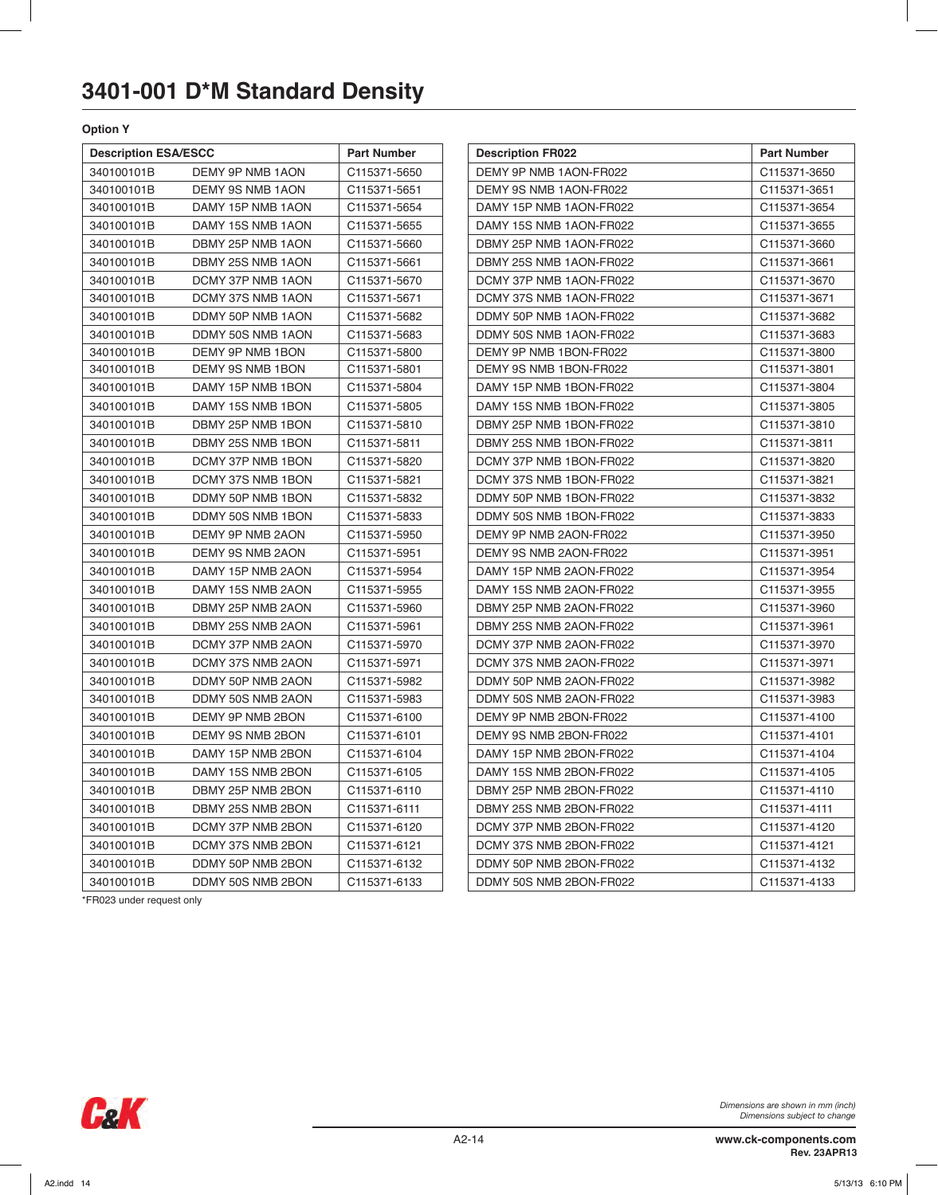#### **Option Y**

| <b>Description ESA/ESCC</b> |                   | <b>Part Number</b>       | <b>Description FR022</b> |  |
|-----------------------------|-------------------|--------------------------|--------------------------|--|
| 340100101B                  | DEMY 9P NMB 1AON  | C115371-5650             | DEMY 9P NMB 1AON-FR022   |  |
| 340100101B                  | DEMY 9S NMB 1AON  | C115371-5651             | DEMY 9S NMB 1AON-FR022   |  |
| 340100101B                  | DAMY 15P NMB 1AON | C115371-5654             | DAMY 15P NMB 1AON-FR022  |  |
| 340100101B                  | DAMY 15S NMB 1AON | C <sub>115371-5655</sub> | DAMY 15S NMB 1AON-FR022  |  |
| 340100101B                  | DBMY 25P NMB 1AON | C115371-5660             | DBMY 25P NMB 1AON-FR022  |  |
| 340100101B                  | DBMY 25S NMB 1AON | C115371-5661             | DBMY 25S NMB 1AON-FR022  |  |
| 340100101B                  | DCMY 37P NMB 1AON | C115371-5670             | DCMY 37P NMB 1AON-FR022  |  |
| 340100101B                  | DCMY 37S NMB 1AON | C115371-5671             | DCMY 37S NMB 1AON-FR022  |  |
| 340100101B                  | DDMY 50P NMB 1AON | C115371-5682             | DDMY 50P NMB 1AON-FR022  |  |
| 340100101B                  | DDMY 50S NMB 1AON | C115371-5683             | DDMY 50S NMB 1AON-FR022  |  |
| 340100101B                  | DEMY 9P NMB 1BON  | C115371-5800             | DEMY 9P NMB 1BON-FR022   |  |
| 340100101B                  | DEMY 9S NMB 1BON  | C115371-5801             | DEMY 9S NMB 1BON-FR022   |  |
| 340100101B                  | DAMY 15P NMB 1BON | C115371-5804             | DAMY 15P NMB 1BON-FR022  |  |
| 340100101B                  | DAMY 15S NMB 1BON | C115371-5805             | DAMY 15S NMB 1BON-FR022  |  |
| 340100101B                  | DBMY 25P NMB 1BON | C115371-5810             | DBMY 25P NMB 1BON-FR022  |  |
| 340100101B                  | DBMY 25S NMB 1BON | C115371-5811             | DBMY 25S NMB 1BON-FR022  |  |
| 340100101B                  | DCMY 37P NMB 1BON | C115371-5820             | DCMY 37P NMB 1BON-FR022  |  |
| 340100101B                  | DCMY 37S NMB 1BON | C115371-5821             | DCMY 37S NMB 1BON-FR022  |  |
| 340100101B                  | DDMY 50P NMB 1BON | C115371-5832             | DDMY 50P NMB 1BON-FR022  |  |
| 340100101B                  | DDMY 50S NMB 1BON | C115371-5833             | DDMY 50S NMB 1BON-FR022  |  |
| 340100101B                  | DEMY 9P NMB 2AON  | C115371-5950             | DEMY 9P NMB 2AON-FR022   |  |
| 340100101B                  | DEMY 9S NMB 2AON  | C115371-5951             | DEMY 9S NMB 2AON-FR022   |  |
| 340100101B                  | DAMY 15P NMB 2AON | C115371-5954             | DAMY 15P NMB 2AON-FR022  |  |
| 340100101B                  | DAMY 15S NMB 2AON | C115371-5955             | DAMY 15S NMB 2AON-FR022  |  |
| 340100101B                  | DBMY 25P NMB 2AON | C115371-5960             | DBMY 25P NMB 2AON-FR022  |  |
| 340100101B                  | DBMY 25S NMB 2AON | C115371-5961             | DBMY 25S NMB 2AON-FR022  |  |
| 340100101B                  | DCMY 37P NMB 2AON | C115371-5970             | DCMY 37P NMB 2AON-FR022  |  |
| 340100101B                  | DCMY 37S NMB 2AON | C115371-5971             | DCMY 37S NMB 2AON-FR022  |  |
| 340100101B                  | DDMY 50P NMB 2AON | C115371-5982             | DDMY 50P NMB 2AON-FR022  |  |
| 340100101B                  | DDMY 50S NMB 2AON | C115371-5983             | DDMY 50S NMB 2AON-FR022  |  |
| 340100101B                  | DEMY 9P NMB 2BON  | C115371-6100             | DEMY 9P NMB 2BON-FR022   |  |
| 340100101B                  | DEMY 9S NMB 2BON  | C115371-6101             | DEMY 9S NMB 2BON-FR022   |  |
| 340100101B                  | DAMY 15P NMB 2BON | C115371-6104             | DAMY 15P NMB 2BON-FR022  |  |
| 340100101B                  | DAMY 15S NMB 2BON | C115371-6105             | DAMY 15S NMB 2BON-FR022  |  |
| 340100101B                  | DBMY 25P NMB 2BON | C115371-6110             | DBMY 25P NMB 2BON-FR022  |  |
| 340100101B                  | DBMY 25S NMB 2BON | C115371-6111             | DBMY 25S NMB 2BON-FR022  |  |
| 340100101B                  | DCMY 37P NMB 2BON | C115371-6120             | DCMY 37P NMB 2BON-FR022  |  |
| 340100101B                  | DCMY 37S NMB 2BON | C115371-6121             | DCMY 37S NMB 2BON-FR022  |  |
| 340100101B                  | DDMY 50P NMB 2BON | C115371-6132             | DDMY 50P NMB 2BON-FR022  |  |
| 340100101B                  | DDMY 50S NMB 2BON | C115371-6133             | DDMY 50S NMB 2BON-FR022  |  |

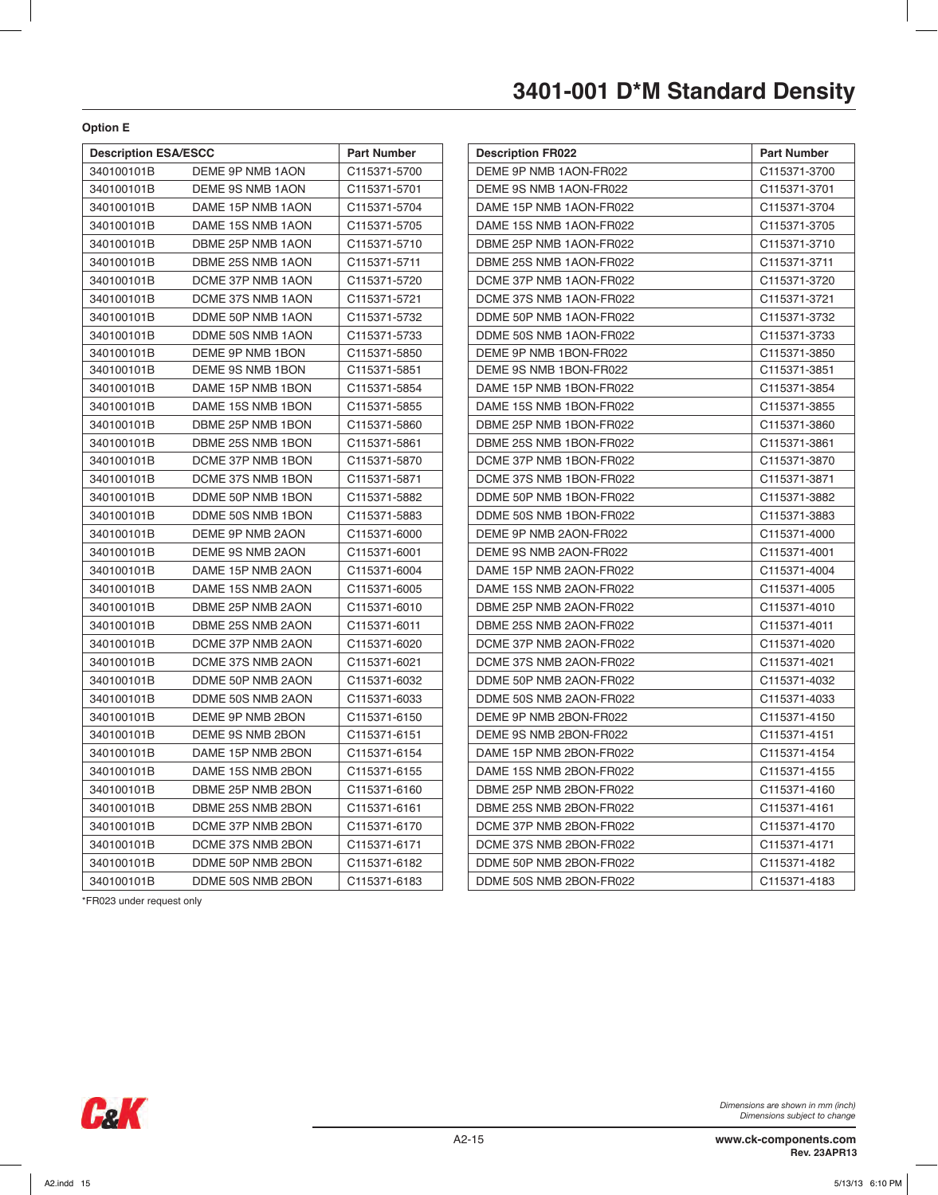#### **Option E**

| <b>Description ESA/ESCC</b> | <b>Part Number</b> |              |
|-----------------------------|--------------------|--------------|
| 340100101B                  | DEME 9P NMB 1AON   | C115371-5700 |
| 340100101B                  | DEME 9S NMB 1AON   | C115371-5701 |
| 340100101B                  | DAME 15P NMB 1AON  | C115371-5704 |
| 340100101B                  | DAME 15S NMB 1AON  | C115371-5705 |
| 340100101B                  | DBME 25P NMB 1AON  | C115371-5710 |
| 340100101B                  | DBME 25S NMB 1AON  | C115371-5711 |
| 340100101B                  | DCME 37P NMB 1AON  | C115371-5720 |
| 340100101B                  | DCME 37S NMB 1AON  | C115371-5721 |
| 340100101B                  | DDME 50P NMB 1AON  | C115371-5732 |
| 340100101B                  | DDME 50S NMB 1AON  | C115371-5733 |
| 340100101B                  | DEME 9P NMB 1BON   | C115371-5850 |
| 340100101B                  | DEME 9S NMB 1BON   | C115371-5851 |
| 340100101B                  | DAME 15P NMB 1BON  | C115371-5854 |
| 340100101B                  | DAME 15S NMB 1BON  | C115371-5855 |
| 340100101B                  | DBME 25P NMB 1BON  | C115371-5860 |
| 340100101B                  | DBME 25S NMB 1BON  | C115371-5861 |
| 340100101B                  | DCME 37P NMB 1BON  | C115371-5870 |
| 340100101B                  | DCME 37S NMB 1BON  | C115371-5871 |
| 340100101B                  | DDME 50P NMB 1BON  | C115371-5882 |
| 340100101B                  | DDME 50S NMB 1BON  | C115371-5883 |
| 340100101B                  | DEME 9P NMB 2AON   | C115371-6000 |
| 340100101B                  | DEME 9S NMB 2AON   | C115371-6001 |
| 340100101B                  | DAME 15P NMB 2AON  | C115371-6004 |
| 340100101B                  | DAME 15S NMB 2AON  | C115371-6005 |
| 340100101B                  | DBME 25P NMB 2AON  | C115371-6010 |
| 340100101B                  | DBME 25S NMB 2AON  | C115371-6011 |
| 340100101B                  | DCME 37P NMB 2AON  | C115371-6020 |
| 340100101B                  | DCME 37S NMB 2AON  | C115371-6021 |
| 340100101B                  | DDME 50P NMB 2AON  | C115371-6032 |
| 340100101B                  | DDME 50S NMB 2AON  | C115371-6033 |
| 340100101B                  | DEME 9P NMB 2BON   | C115371-6150 |
| 340100101B                  | DEME 9S NMB 2BON   | C115371-6151 |
| 340100101B                  | DAME 15P NMB 2BON  | C115371-6154 |
| 340100101B                  | DAME 15S NMB 2BON  | C115371-6155 |
| 340100101B                  | DBME 25P NMB 2BON  | C115371-6160 |
| 340100101B                  | DBME 25S NMB 2BON  | C115371-6161 |
| 340100101B                  | DCME 37P NMB 2BON  | C115371-6170 |
| 340100101B                  | DCME 37S NMB 2BON  | C115371-6171 |
| 340100101B                  | DDME 50P NMB 2BON  | C115371-6182 |
| 340100101B                  | DDME 50S NMB 2BON  | C115371-6183 |

| <b>Description ESA/ESCC</b> |                   | <b>Part Number</b>       |
|-----------------------------|-------------------|--------------------------|
| 340100101B                  | DEME 9P NMB 1AON  | C115371-5700             |
| 340100101B                  | DEME 9S NMB 1AON  | C115371-5701             |
| 340100101B                  | DAME 15P NMB 1AON | C115371-5704             |
| 340100101B                  | DAME 15S NMB 1AON | C115371-5705             |
| 340100101B                  | DBME 25P NMB 1AON | C115371-5710             |
| 340100101B                  | DBME 25S NMB 1AON | C115371-5711             |
| 340100101B                  | DCME 37P NMB 1AON | C115371-5720             |
| 340100101B                  | DCME 37S NMB 1AON | C115371-5721             |
| 340100101B                  | DDME 50P NMB 1AON | C115371-5732             |
| 340100101B                  | DDME 50S NMB 1AON | C115371-5733             |
| 340100101B                  | DEME 9P NMB 1BON  | C115371-5850             |
| 340100101B                  | DEME 9S NMB 1BON  | C115371-5851             |
| 340100101B                  | DAME 15P NMB 1BON | C115371-5854             |
| 340100101B                  | DAME 15S NMB 1BON | C115371-5855             |
| 340100101B                  | DBME 25P NMB 1BON | C115371-5860             |
| 340100101B                  | DBME 25S NMB 1BON | C115371-5861             |
| 340100101B                  | DCME 37P NMB 1BON | C115371-5870             |
| 340100101B                  | DCME 37S NMB 1BON | C115371-5871             |
| 340100101B                  | DDME 50P NMB 1BON | C115371-5882             |
| 340100101B                  | DDME 50S NMB 1BON | C115371-5883             |
| 340100101B                  | DEME 9P NMB 2AON  | C115371-6000             |
| 340100101B                  | DEME 9S NMB 2AON  | C115371-6001             |
| 340100101B                  | DAME 15P NMB 2AON | C115371-6004             |
| 340100101B                  | DAME 15S NMB 2AON | C115371-6005             |
| 340100101B                  | DBME 25P NMB 2AON | C115371-6010             |
| 340100101B                  | DBME 25S NMB 2AON | C115371-6011             |
| 340100101B                  | DCME 37P NMB 2AON | C115371-6020             |
| 340100101B                  | DCME 37S NMB 2AON | C115371-6021             |
| 340100101B                  | DDME 50P NMB 2AON | C115371-6032             |
| 340100101B                  | DDME 50S NMB 2AON | C115371-6033             |
| 340100101B                  | DEME 9P NMB 2BON  | C115371-6150             |
| 340100101B                  | DEME 9S NMB 2BON  | C115371-6151             |
| 340100101B                  | DAME 15P NMB 2BON | C115371-6154             |
| 340100101B                  | DAME 15S NMB 2BON | C115371-6155             |
| 340100101B                  | DBME 25P NMB 2BON | C115371-6160             |
| 340100101B                  | DBME 25S NMB 2BON | C115371-6161             |
| 340100101B                  | DCME 37P NMB 2BON | C115371-6170             |
| 340100101B                  | DCME 37S NMB 2BON | C115371-6171             |
| 340100101B                  | DDME 50P NMB 2BON | C115371-6182             |
| 340100101B                  | DDME 50S NMB 2BON | C <sub>115371-6183</sub> |

\*FR023 under request only

**CaK**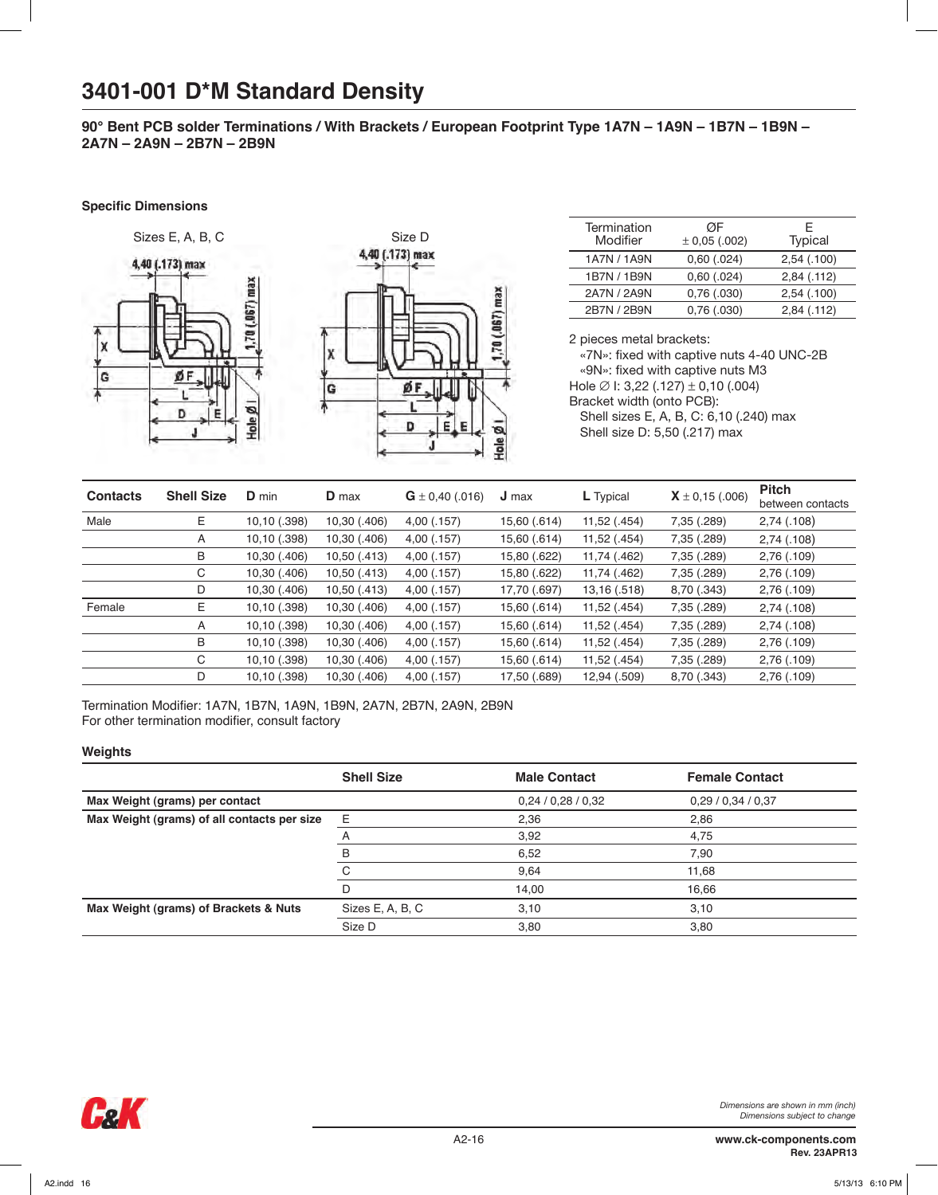**90° Bent PCB solder Terminations / With Brackets / European Footprint Type 1A7N – 1A9N – 1B7N – 1B9N – 2A7N – 2A9N – 2B7N – 2B9N**

#### **Specific Dimensions**





| Termination<br>Modifier | ØF<br>± 0,05(.002) | F<br>Typical |
|-------------------------|--------------------|--------------|
| 1A7N / 1A9N             | $0,60$ $(.024)$    | 2,54(.100)   |
| 1B7N / 1B9N             | $0,60$ $(.024)$    | 2,84 (.112)  |
| 2A7N / 2A9N             | 0,76(.030)         | 2,54(.100)   |
| 2B7N / 2B9N             | 0,76(.030)         | 2,84 (.112)  |

2 pieces metal brackets: «7N»: fixed with captive nuts 4-40 UNC-2B «9N»: fixed with captive nuts M3 Hole  $\varnothing$  I: 3,22 (.127)  $\pm$  0,10 (.004) Bracket width (onto PCB): Shell sizes E, A, B, C: 6,10 (.240) max Shell size D: 5,50 (.217) max

| <b>Contacts</b> | <b>Shell Size</b> | <b>D</b> min | <b>D</b> max | $G \pm 0.40$ (.016) | $J$ max      | <b>L</b> Typical | $X \pm 0,15$ (.006) | Pitch            |
|-----------------|-------------------|--------------|--------------|---------------------|--------------|------------------|---------------------|------------------|
|                 |                   |              |              |                     |              |                  |                     | between contacts |
| Male            | Е                 | 10,10 (.398) | 10,30 (.406) | $4,00$ (.157)       | 15,60 (.614) | 11,52 (.454)     | 7,35 (.289)         | 2,74 (.108)      |
|                 | A                 | 10,10 (.398) | 10,30 (.406) | 4,00(.157)          | 15,60 (.614) | 11,52(.454)      | 7,35 (.289)         | 2,74 (.108)      |
|                 | B                 | 10,30 (.406) | 10,50 (.413) | $4,00$ (.157)       | 15,80 (.622) | 11,74 (.462)     | 7,35 (.289)         | 2,76 (.109)      |
|                 | С                 | 10,30 (.406) | 10,50 (.413) | 4,00 (.157)         | 15,80 (.622) | 11,74 (.462)     | 7,35 (.289)         | 2,76 (.109)      |
|                 | D                 | 10,30 (.406) | 10,50 (.413) | $4,00$ (.157)       | 17,70 (.697) | 13, 16 (.518)    | 8,70 (.343)         | 2,76 (.109)      |
| Female          | Е                 | 10,10 (.398) | 10,30 (.406) | 4,00 (.157)         | 15,60 (.614) | 11,52 (.454)     | 7,35 (.289)         | 2,74 (.108)      |
|                 | A                 | 10,10 (.398) | 10,30 (.406) | 4,00(.157)          | 15,60 (.614) | 11,52(.454)      | 7,35 (.289)         | 2,74 (.108)      |
|                 | B                 | 10,10 (.398) | 10,30 (.406) | $4,00$ (.157)       | 15,60 (.614) | 11,52(.454)      | 7,35 (.289)         | 2,76 (.109)      |
|                 | С                 | 10,10 (.398) | 10,30 (.406) | $4,00$ (.157)       | 15,60 (.614) | 11,52 (.454)     | 7,35 (.289)         | 2,76 (.109)      |
|                 | D                 | 10,10 (.398) | 10,30 (.406) | $4,00$ (.157)       | 17,50 (.689) | 12,94 (.509)     | 8,70 (.343)         | 2,76 (.109)      |
|                 |                   |              |              |                     |              |                  |                     |                  |

Termination Modifier: 1A7N, 1B7N, 1A9N, 1B9N, 2A7N, 2B7N, 2A9N, 2B9N For other termination modifier, consult factory

|                                             | <b>Shell Size</b> | <b>Male Contact</b> | <b>Female Contact</b> |
|---------------------------------------------|-------------------|---------------------|-----------------------|
| Max Weight (grams) per contact              |                   | 0,24/0,28/0,32      | 0,29/0,34/0,37        |
| Max Weight (grams) of all contacts per size | Е                 | 2,36                | 2,86                  |
|                                             |                   | 3,92                | 4,75                  |
|                                             | B                 | 6,52                | 7,90                  |
|                                             | C                 | 9,64                | 11,68                 |
|                                             | D                 | 14,00               | 16,66                 |
| Max Weight (grams) of Brackets & Nuts       | Sizes E, A, B, C  | 3,10                | 3,10                  |
|                                             | Size D            | 3.80                | 3.80                  |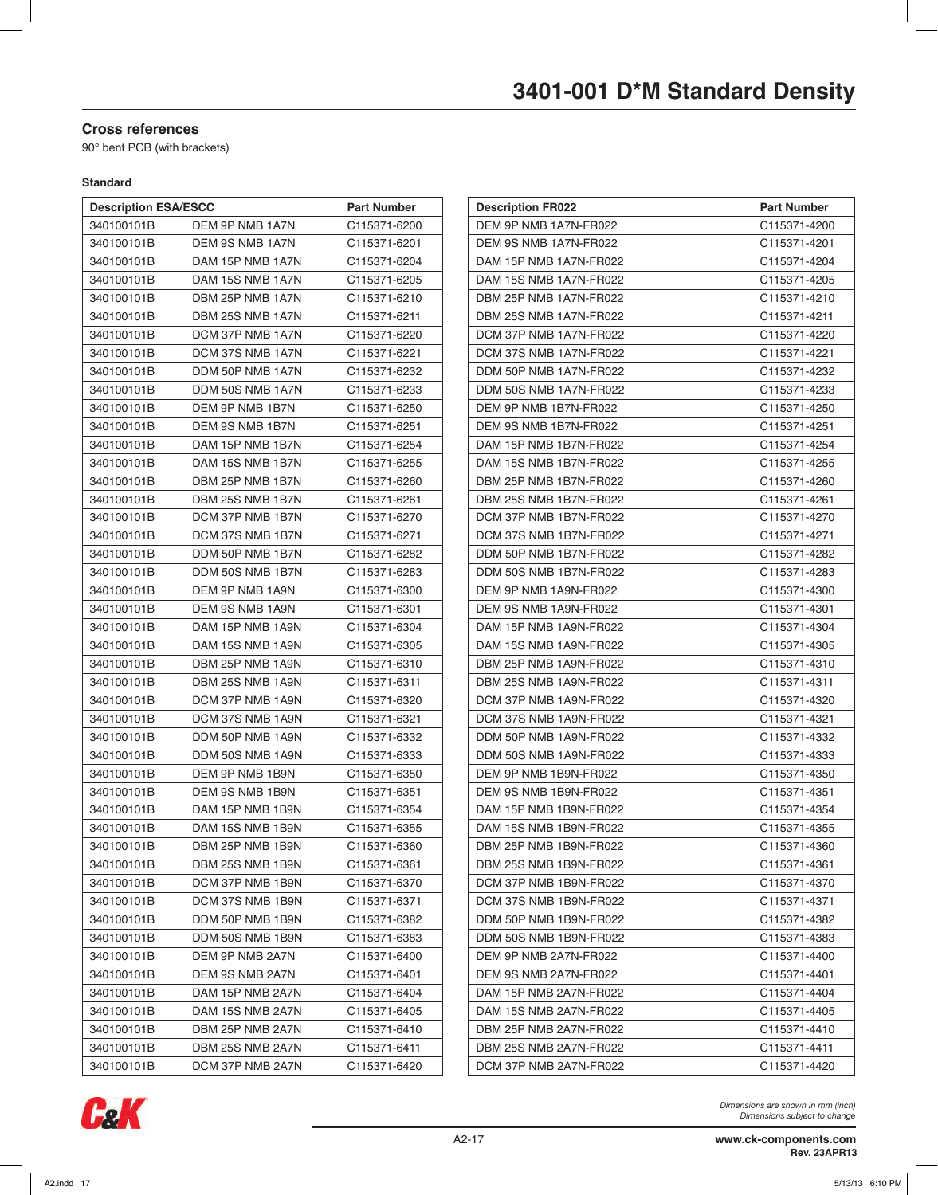#### **Cross references**

90° bent PCB (with brackets)

#### **Standard**

| <b>Description ESA/ESCC</b> |                  | <b>Part Number</b> | <b>Description FR022</b> | <b>Part Number</b> |
|-----------------------------|------------------|--------------------|--------------------------|--------------------|
| 340100101B                  | DEM 9P NMB 1A7N  | C115371-6200       | DEM 9P NMB 1A7N-FR022    |                    |
| 340100101B                  | DEM 9S NMB 1A7N  | C115371-6201       | DEM 9S NMB 1A7N-FR022    |                    |
| 340100101B                  | DAM 15P NMB 1A7N | C115371-6204       | DAM 15P NMB 1A7N-FR022   | C115371-4204       |
| 340100101B                  | DAM 15S NMB 1A7N | C115371-6205       | DAM 15S NMB 1A7N-FR022   | C115371-4205       |
| 340100101B                  | DBM 25P NMB 1A7N | C115371-6210       | DBM 25P NMB 1A7N-FR022   | C115371-4210       |
| 340100101B                  | DBM 25S NMB 1A7N | C115371-6211       | DBM 25S NMB 1A7N-FR022   | C115371-4211       |
| 340100101B                  | DCM 37P NMB 1A7N | C115371-6220       | DCM 37P NMB 1A7N-FR022   | C115371-4220       |
| 340100101B                  | DCM 37S NMB 1A7N | C115371-6221       | DCM 37S NMB 1A7N-FR022   | C115371-4221       |
| 340100101B                  | DDM 50P NMB 1A7N | C115371-6232       | DDM 50P NMB 1A7N-FR022   | C115371-4232       |
| 340100101B                  | DDM 50S NMB 1A7N | C115371-6233       | DDM 50S NMB 1A7N-FR022   | C115371-4233       |
| 340100101B                  | DEM 9P NMB 1B7N  | C115371-6250       | DEM 9P NMB 1B7N-FR022    | C115371-4250       |
| 340100101B                  | DEM 9S NMB 1B7N  | C115371-6251       | DEM 9S NMB 1B7N-FR022    | C115371-4251       |
| 340100101B                  | DAM 15P NMB 1B7N | C115371-6254       | DAM 15P NMB 1B7N-FR022   | C115371-4254       |
| 340100101B                  | DAM 15S NMB 1B7N | C115371-6255       | DAM 15S NMB 1B7N-FR022   | C115371-4255       |
| 340100101B                  | DBM 25P NMB 1B7N | C115371-6260       | DBM 25P NMB 1B7N-FR022   | C115371-4260       |
| 340100101B                  | DBM 25S NMB 1B7N | C115371-6261       | DBM 25S NMB 1B7N-FR022   | C115371-4261       |
| 340100101B                  | DCM 37P NMB 1B7N | C115371-6270       | DCM 37P NMB 1B7N-FR022   | C115371-4270       |
| 340100101B                  | DCM 37S NMB 1B7N | C115371-6271       | DCM 37S NMB 1B7N-FR022   | C115371-4271       |
| 340100101B                  | DDM 50P NMB 1B7N | C115371-6282       | DDM 50P NMB 1B7N-FR022   | C115371-4282       |
| 340100101B                  | DDM 50S NMB 1B7N | C115371-6283       | DDM 50S NMB 1B7N-FR022   | C115371-4283       |
| 340100101B                  | DEM 9P NMB 1A9N  | C115371-6300       | DEM 9P NMB 1A9N-FR022    | C115371-4300       |
| 340100101B                  | DEM 9S NMB 1A9N  | C115371-6301       | DEM 9S NMB 1A9N-FR022    | C115371-4301       |
| 340100101B                  | DAM 15P NMB 1A9N | C115371-6304       | DAM 15P NMB 1A9N-FR022   | C115371-4304       |
| 340100101B                  | DAM 15S NMB 1A9N | C115371-6305       | DAM 15S NMB 1A9N-FR022   | C115371-4305       |
| 340100101B                  | DBM 25P NMB 1A9N | C115371-6310       | DBM 25P NMB 1A9N-FR022   | C115371-4310       |
| 340100101B                  | DBM 25S NMB 1A9N | C115371-6311       | DBM 25S NMB 1A9N-FR022   | C115371-4311       |
| 340100101B                  | DCM 37P NMB 1A9N | C115371-6320       | DCM 37P NMB 1A9N-FR022   | C115371-4320       |
| 340100101B                  | DCM 37S NMB 1A9N | C115371-6321       | DCM 37S NMB 1A9N-FR022   | C115371-4321       |
| 340100101B                  | DDM 50P NMB 1A9N | C115371-6332       | DDM 50P NMB 1A9N-FR022   | C115371-4332       |
| 340100101B                  | DDM 50S NMB 1A9N | C115371-6333       | DDM 50S NMB 1A9N-FR022   | C115371-4333       |
| 340100101B                  | DEM 9P NMB 1B9N  | C115371-6350       | DEM 9P NMB 1B9N-FR022    | C115371-4350       |
| 340100101B                  | DEM 9S NMB 1B9N  | C115371-6351       | DEM 9S NMB 1B9N-FR022    | C115371-4351       |
| 340100101B                  | DAM 15P NMB 1B9N | C115371-6354       | DAM 15P NMB 1B9N-FR022   | C115371-4354       |
| 340100101B                  | DAM 15S NMB 1B9N | C115371-6355       | DAM 15S NMB 1B9N-FR022   | C115371-4355       |
| 340100101B                  | DBM 25P NMB 1B9N | C115371-6360       | DBM 25P NMB 1B9N-FR022   | C115371-4360       |
| 340100101B                  | DBM 25S NMB 1B9N | C115371-6361       | DBM 25S NMB 1B9N-FR022   | C115371-4361       |
| 340100101B                  | DCM 37P NMB 1B9N | C115371-6370       | DCM 37P NMB 1B9N-FR022   | C115371-4370       |
| 340100101B                  | DCM 37S NMB 1B9N | C115371-6371       | DCM 37S NMB 1B9N-FR022   | C115371-4371       |
| 340100101B                  | DDM 50P NMB 1B9N | C115371-6382       | DDM 50P NMB 1B9N-FR022   | C115371-4382       |
| 340100101B                  | DDM 50S NMB 1B9N | C115371-6383       | DDM 50S NMB 1B9N-FR022   | C115371-4383       |
| 340100101B                  | DEM 9P NMB 2A7N  | C115371-6400       | DEM 9P NMB 2A7N-FR022    | C115371-4400       |
| 340100101B                  | DEM 9S NMB 2A7N  | C115371-6401       | DEM 9S NMB 2A7N-FR022    | C115371-4401       |
| 340100101B                  | DAM 15P NMB 2A7N | C115371-6404       | DAM 15P NMB 2A7N-FR022   | C115371-4404       |
| 340100101B                  | DAM 15S NMB 2A7N | C115371-6405       | DAM 15S NMB 2A7N-FR022   | C115371-4405       |
| 340100101B                  | DBM 25P NMB 2A7N | C115371-6410       | DBM 25P NMB 2A7N-FR022   | C115371-4410       |
| 340100101B                  | DBM 25S NMB 2A7N | C115371-6411       | DBM 25S NMB 2A7N-FR022   | C115371-4411       |
| 340100101B                  | DCM 37P NMB 2A7N | C115371-6420       | DCM 37P NMB 2A7N-FR022   | C115371-4420       |

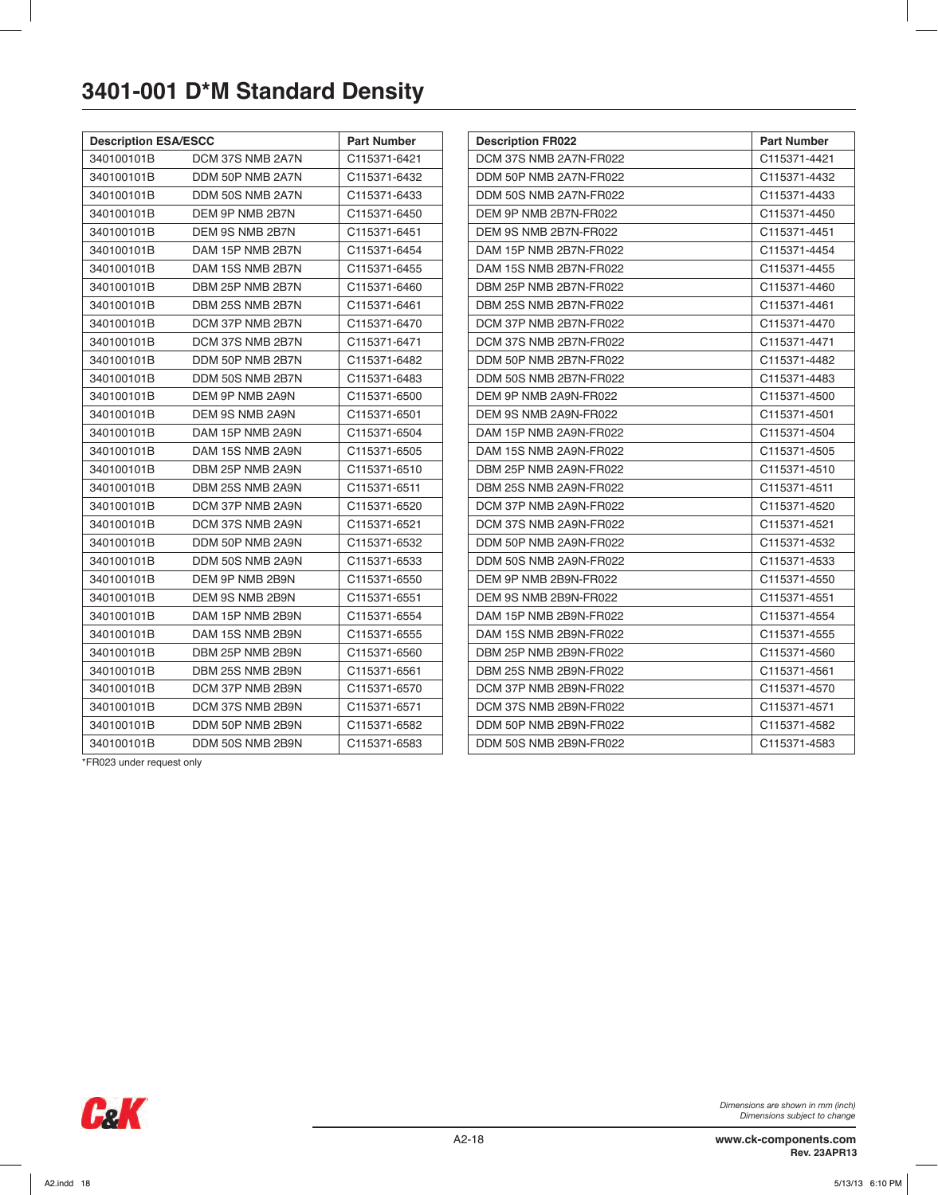# **3401-001 D\*M Standard Density**

| <b>Description ESA/ESCC</b> |                  | <b>Part Number</b> | <b>Description FR022</b> | <b>Part Number</b> |
|-----------------------------|------------------|--------------------|--------------------------|--------------------|
| 340100101B                  | DCM 37S NMB 2A7N | C115371-6421       | DCM 37S NMB 2A7N-FR022   | C115371-4421       |
| 340100101B                  | DDM 50P NMB 2A7N | C115371-6432       | DDM 50P NMB 2A7N-FR022   | C115371-4432       |
| 340100101B                  | DDM 50S NMB 2A7N | C115371-6433       | DDM 50S NMB 2A7N-FR022   | C115371-4433       |
| 340100101B                  | DEM 9P NMB 2B7N  | C115371-6450       | DEM 9P NMB 2B7N-FR022    | C115371-4450       |
| 340100101B                  | DEM 9S NMB 2B7N  | C115371-6451       | DEM 9S NMB 2B7N-FR022    | C115371-4451       |
| 340100101B                  | DAM 15P NMB 2B7N | C115371-6454       | DAM 15P NMB 2B7N-FR022   | C115371-4454       |
| 340100101B                  | DAM 15S NMB 2B7N | C115371-6455       | DAM 15S NMB 2B7N-FR022   | C115371-4455       |
| 340100101B                  | DBM 25P NMB 2B7N | C115371-6460       | DBM 25P NMB 2B7N-FR022   | C115371-4460       |
| 340100101B                  | DBM 25S NMB 2B7N | C115371-6461       | DBM 25S NMB 2B7N-FR022   | C115371-4461       |
| 340100101B                  | DCM 37P NMB 2B7N | C115371-6470       | DCM 37P NMB 2B7N-FR022   | C115371-4470       |
| 340100101B                  | DCM 37S NMB 2B7N | C115371-6471       | DCM 37S NMB 2B7N-FR022   | C115371-4471       |
| 340100101B                  | DDM 50P NMB 2B7N | C115371-6482       | DDM 50P NMB 2B7N-FR022   | C115371-4482       |
| 340100101B                  | DDM 50S NMB 2B7N | C115371-6483       | DDM 50S NMB 2B7N-FR022   | C115371-4483       |
| 340100101B                  | DEM 9P NMB 2A9N  | C115371-6500       | DEM 9P NMB 2A9N-FR022    | C115371-4500       |
| 340100101B                  | DEM 9S NMB 2A9N  | C115371-6501       | DEM 9S NMB 2A9N-FR022    | C115371-4501       |
| 340100101B                  | DAM 15P NMB 2A9N | C115371-6504       | DAM 15P NMB 2A9N-FR022   | C115371-4504       |
| 340100101B                  | DAM 15S NMB 2A9N | C115371-6505       | DAM 15S NMB 2A9N-FR022   | C115371-4505       |
| 340100101B                  | DBM 25P NMB 2A9N | C115371-6510       | DBM 25P NMB 2A9N-FR022   | C115371-4510       |
| 340100101B                  | DBM 25S NMB 2A9N | C115371-6511       | DBM 25S NMB 2A9N-FR022   | C115371-4511       |
| 340100101B                  | DCM 37P NMB 2A9N | C115371-6520       | DCM 37P NMB 2A9N-FR022   | C115371-4520       |
| 340100101B                  | DCM 37S NMB 2A9N | C115371-6521       | DCM 37S NMB 2A9N-FR022   | C115371-4521       |
| 340100101B                  | DDM 50P NMB 2A9N | C115371-6532       | DDM 50P NMB 2A9N-FR022   | C115371-4532       |
| 340100101B                  | DDM 50S NMB 2A9N | C115371-6533       | DDM 50S NMB 2A9N-FR022   | C115371-4533       |
| 340100101B                  | DEM 9P NMB 2B9N  | C115371-6550       | DEM 9P NMB 2B9N-FR022    | C115371-4550       |
| 340100101B                  | DEM 9S NMB 2B9N  | C115371-6551       | DEM 9S NMB 2B9N-FR022    | C115371-4551       |
| 340100101B                  | DAM 15P NMB 2B9N | C115371-6554       | DAM 15P NMB 2B9N-FR022   | C115371-4554       |
| 340100101B                  | DAM 15S NMB 2B9N | C115371-6555       | DAM 15S NMB 2B9N-FR022   | C115371-4555       |
| 340100101B                  | DBM 25P NMB 2B9N | C115371-6560       | DBM 25P NMB 2B9N-FR022   | C115371-4560       |
| 340100101B                  | DBM 25S NMB 2B9N | C115371-6561       | DBM 25S NMB 2B9N-FR022   | C115371-4561       |
| 340100101B                  | DCM 37P NMB 2B9N | C115371-6570       | DCM 37P NMB 2B9N-FR022   | C115371-4570       |
| 340100101B                  | DCM 37S NMB 2B9N | C115371-6571       | DCM 37S NMB 2B9N-FR022   | C115371-4571       |
| 340100101B                  | DDM 50P NMB 2B9N | C115371-6582       | DDM 50P NMB 2B9N-FR022   | C115371-4582       |
| 340100101B                  | DDM 50S NMB 2B9N | C115371-6583       | DDM 50S NMB 2B9N-FR022   | C115371-4583       |

\*FR023 under request only

**CaK**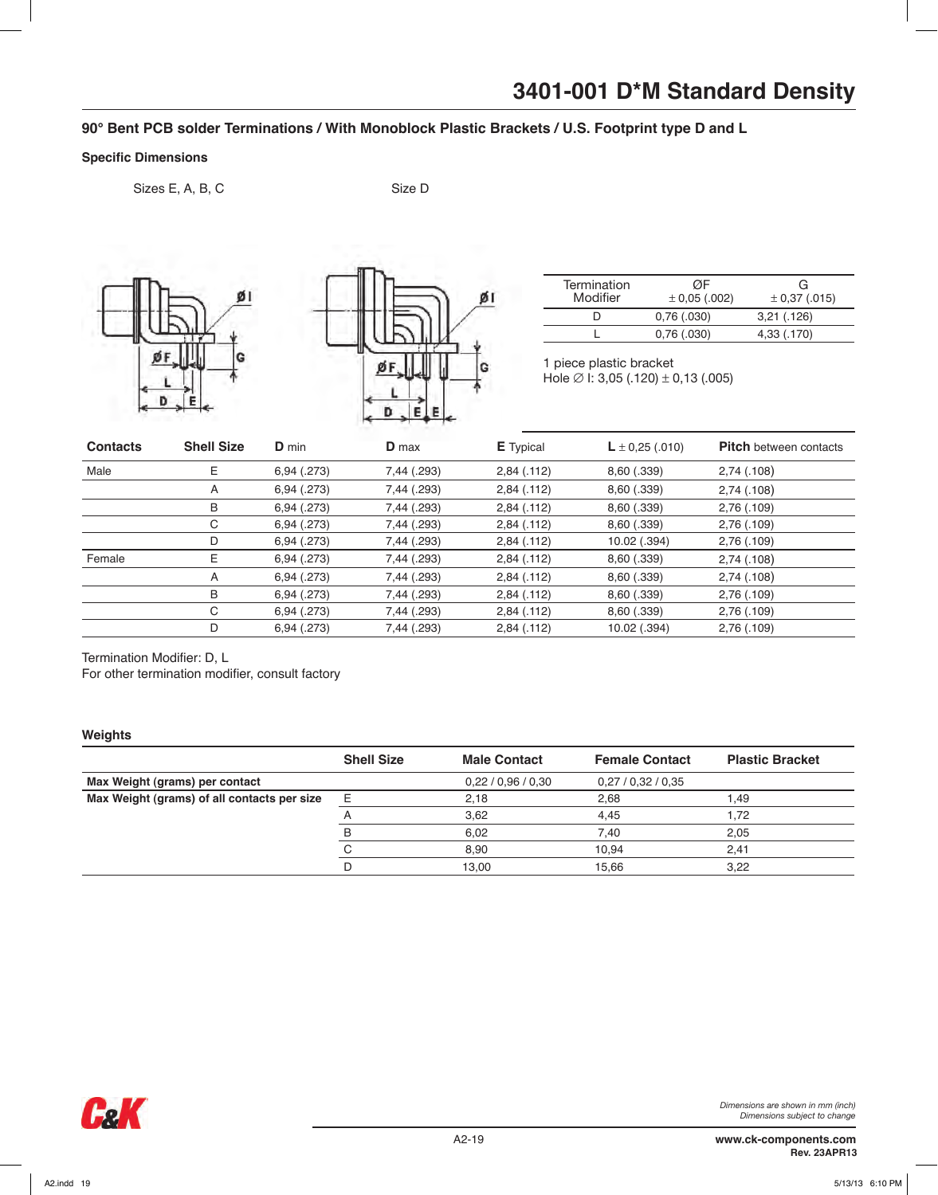#### **90° Bent PCB solder Terminations / With Monoblock Plastic Brackets / U.S. Footprint type D and L**

#### **Specific Dimensions**

Sizes E, A, B, C Size D





| Termination<br>Modifier | ØF<br>$\pm$ 0.05 (.002) | $\mathbf{G}$<br>$\pm$ 0.37 (.015) |  |  |
|-------------------------|-------------------------|-----------------------------------|--|--|
|                         | 0,76(.030)              | 3,21(.126)                        |  |  |
|                         | 0,76(.030)              | 4,33 (.170)                       |  |  |

<sup>1</sup> piece plastic bracket Hole  $\varnothing$  I: 3,05 (.120)  $\pm$  0,13 (.005)

 $\overline{a}$ 

| <b>Contacts</b> | <b>Shell Size</b> | <b>D</b> min | <b>D</b> max | <b>E</b> Typical | $L \pm 0.25$ (.010) | <b>Pitch</b> between contacts |
|-----------------|-------------------|--------------|--------------|------------------|---------------------|-------------------------------|
| Male            | Е                 | 6,94(.273)   | 7,44 (.293)  | 2,84(.112)       | 8,60 (.339)         | 2,74 (.108)                   |
|                 | Α                 | 6,94 (.273)  | 7,44 (.293)  | 2,84(.112)       | 8,60 (.339)         | 2,74 (.108)                   |
|                 | B                 | 6,94(.273)   | 7,44 (.293)  | 2,84(.112)       | 8,60 (.339)         | 2,76 (.109)                   |
|                 | С                 | 6,94(.273)   | 7,44 (.293)  | 2,84(.112)       | 8,60 (.339)         | 2,76 (.109)                   |
|                 | D                 | 6,94 (.273)  | 7,44 (.293)  | 2,84(.112)       | 10.02 (.394)        | 2,76 (.109)                   |
| Female          | Ε                 | 6,94(.273)   | 7,44 (.293)  | 2,84(.112)       | 8,60 (.339)         | 2,74 (.108)                   |
|                 | A                 | 6,94 (.273)  | 7,44 (.293)  | 2,84 (.112)      | 8,60 (.339)         | 2,74 (.108)                   |
|                 | B                 | 6,94 (.273)  | 7,44 (.293)  | 2,84(.112)       | 8,60 (.339)         | 2,76 (.109)                   |
|                 | С                 | 6,94 (.273)  | 7,44 (.293)  | 2,84(.112)       | 8,60 (.339)         | 2,76 (.109)                   |
|                 | D                 | 6,94(.273)   | 7,44 (.293)  | 2,84(.112)       | 10.02 (.394)        | 2,76 (.109)                   |
|                 |                   |              |              |                  |                     |                               |

Termination Modifier: D, L

For other termination modifier, consult factory

|                                             | <b>Shell Size</b> | <b>Male Contact</b> | <b>Female Contact</b> | <b>Plastic Bracket</b> |
|---------------------------------------------|-------------------|---------------------|-----------------------|------------------------|
| Max Weight (grams) per contact              |                   | 0,22/0,96/0,30      | 0,27/0,32/0,35        |                        |
| Max Weight (grams) of all contacts per size | Ε                 | 2,18                | 2,68                  | 1.49                   |
|                                             |                   | 3,62                | 4.45                  | 1,72                   |
|                                             | B                 | 6,02                | 7.40                  | 2,05                   |
|                                             |                   | 8,90                | 10.94                 | 2.41                   |
|                                             |                   | 13,00               | 15,66                 | 3,22                   |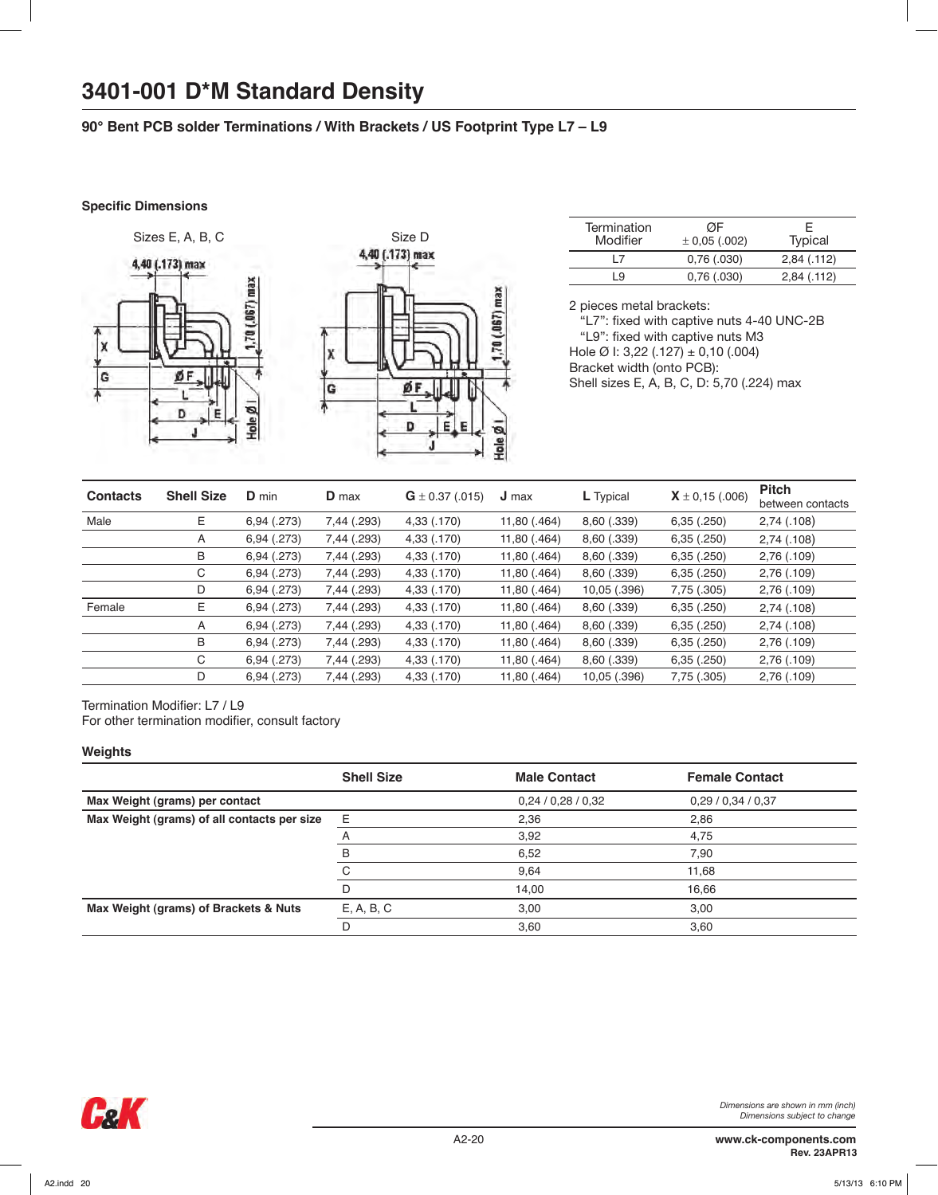#### **90° Bent PCB solder Terminations / With Brackets / US Footprint Type L7 – L9**

#### **Specific Dimensions**





| Termination<br>Modifier | ØF<br>$\pm$ 0.05 (.002) | н.<br>Typical |  |  |
|-------------------------|-------------------------|---------------|--|--|
|                         | 0,76(.030)              | $2,84$ (.112) |  |  |
| ∣ 9                     | 0,76(.030)              | $2,84$ (.112) |  |  |

2 pieces metal brackets:

 "L7": fixed with captive nuts 4-40 UNC-2B "L9": fixed with captive nuts M3 Hole Ø I: 3,22 (.127)  $\pm$  0,10 (.004) Bracket width (onto PCB): Shell sizes E, A, B, C, D: 5,70 (.224) max

| <b>Contacts</b> | <b>Shell Size</b> | <b>D</b> min | <b>D</b> max | $G \pm 0.37$ (.015) | $J$ max      | L Typical    | $X \pm 0.15$ (.006) | Pitch            |
|-----------------|-------------------|--------------|--------------|---------------------|--------------|--------------|---------------------|------------------|
|                 |                   |              |              |                     |              |              |                     | between contacts |
| Male            | Е                 | 6,94(.273)   | 7,44 (.293)  | 4,33 (.170)         | 11,80 (.464) | 8,60 (.339)  | 6,35(.250)          | 2,74(.108)       |
|                 | A                 | 6,94(.273)   | 7,44 (.293)  | 4,33 (.170)         | 11,80 (.464) | 8,60 (.339)  | 6,35(.250)          | 2,74(.108)       |
|                 | B                 | 6,94(.273)   | 7,44 (.293)  | 4,33 (.170)         | 11,80 (.464) | 8,60 (.339)  | 6,35(.250)          | 2,76(.109)       |
|                 | C                 | 6,94(.273)   | 7,44 (.293)  | 4,33 (.170)         | 11,80 (.464) | 8,60 (.339)  | 6,35(.250)          | 2,76 (.109)      |
|                 | D                 | 6,94(.273)   | 7,44 (.293)  | 4,33 (.170)         | 11,80 (.464) | 10,05 (.396) | 7,75 (.305)         | 2,76 (.109)      |
| Female          | E                 | 6,94(.273)   | 7,44 (.293)  | 4,33 (.170)         | 11,80 (.464) | 8,60 (.339)  | 6,35(.250)          | 2,74(.108)       |
|                 | A                 | 6,94(.273)   | 7,44 (.293)  | 4,33 (.170)         | 11,80 (.464) | 8,60 (.339)  | 6,35(.250)          | 2,74(.108)       |
|                 | B                 | 6,94(.273)   | 7,44 (.293)  | 4,33 (.170)         | 11,80 (.464) | 8,60 (.339)  | 6,35(.250)          | 2,76(.109)       |
|                 | C                 | 6,94(.273)   | 7,44 (.293)  | 4,33 (.170)         | 11,80 (.464) | 8,60 (.339)  | 6,35(.250)          | 2,76 (.109)      |
|                 | D                 | 6,94(.273)   | 7,44 (.293)  | 4,33 (.170)         | 11,80 (.464) | 10,05 (.396) | 7,75 (.305)         | 2,76 (.109)      |
|                 |                   |              |              |                     |              |              |                     |                  |

Termination Modifier: L7 / L9 For other termination modifier, consult factory

|                                             | <b>Shell Size</b> | <b>Male Contact</b> | <b>Female Contact</b> |
|---------------------------------------------|-------------------|---------------------|-----------------------|
| Max Weight (grams) per contact              |                   | 0,24/0,28/0,32      | 0,29/0,34/0,37        |
| Max Weight (grams) of all contacts per size | Ε                 | 2,36                | 2,86                  |
|                                             |                   | 3,92                | 4,75                  |
|                                             | B                 | 6,52                | 7,90                  |
|                                             | C                 | 9,64                | 11,68                 |
|                                             | D                 | 14,00               | 16,66                 |
| Max Weight (grams) of Brackets & Nuts       | E, A, B, C        | 3,00                | 3,00                  |
|                                             |                   | 3,60                | 3,60                  |

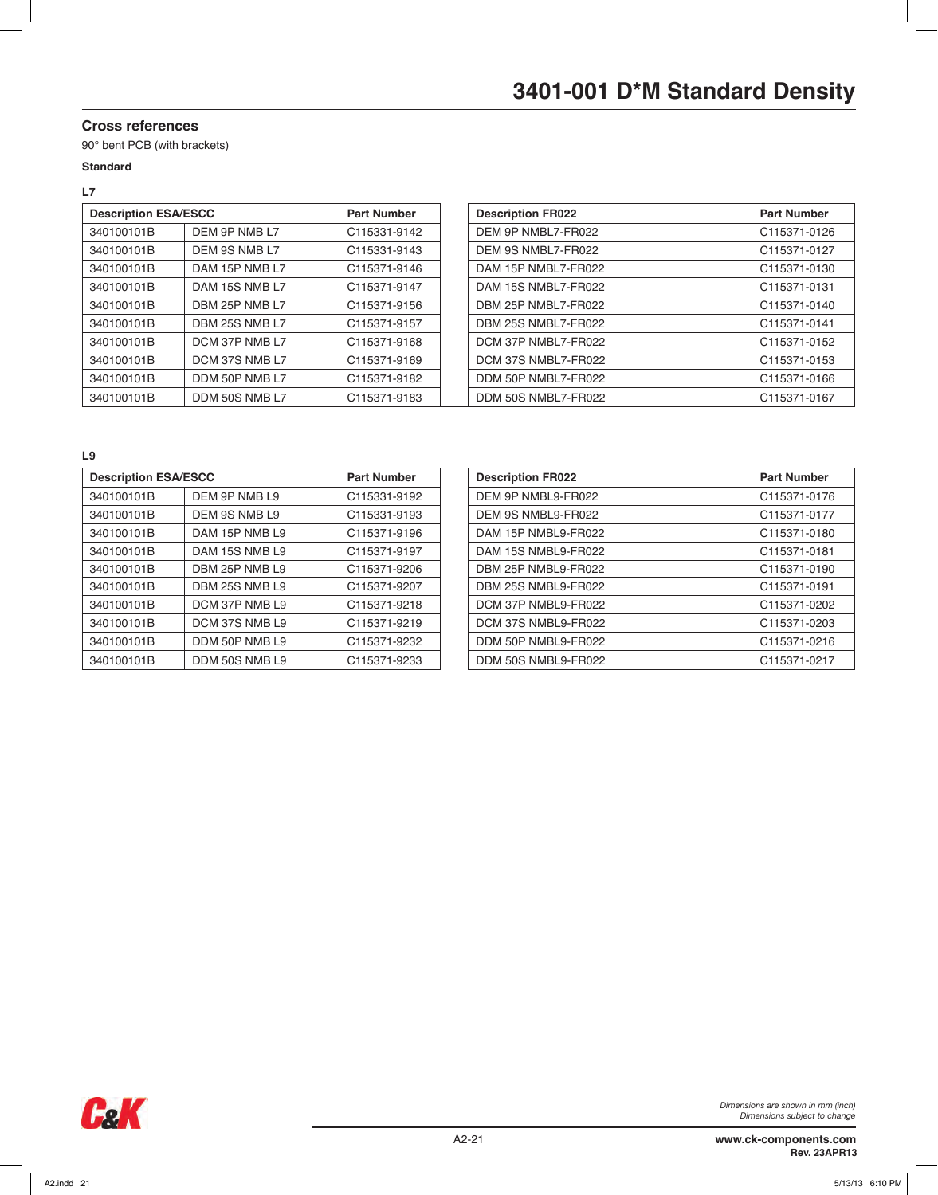#### **Cross references**

90° bent PCB (with brackets)

#### **Standard**

| L7                          |                |                    |                          |                    |              |
|-----------------------------|----------------|--------------------|--------------------------|--------------------|--------------|
| <b>Description ESA/ESCC</b> |                | <b>Part Number</b> | <b>Description FR022</b> | <b>Part Number</b> |              |
| 340100101B                  | DEM 9P NMB L7  | C115331-9142       | DEM 9P NMBL7-FR022       |                    | C115371-0126 |
| 340100101B                  | DEM 9S NMB L7  | C115331-9143       | DEM 9S NMBL7-FR022       |                    | C115371-0127 |
| 340100101B                  | DAM 15P NMB L7 | C115371-9146       | DAM 15P NMBL7-FR022      |                    | C115371-0130 |
| 340100101B                  | DAM 15S NMB L7 | C115371-9147       | DAM 15S NMBL7-FR022      |                    | C115371-0131 |
| 340100101B                  | DBM 25P NMB L7 | C115371-9156       | DBM 25P NMBL7-FR022      |                    | C115371-0140 |
| 340100101B                  | DBM 25S NMB L7 | C115371-9157       | DBM 25S NMBL7-FR022      |                    | C115371-0141 |
| 340100101B                  | DCM 37P NMB L7 | C115371-9168       | DCM 37P NMBL7-FR022      |                    | C115371-0152 |
| 340100101B                  | DCM 37S NMB L7 | C115371-9169       | DCM 37S NMBL7-FR022      |                    | C115371-0153 |
| 340100101B                  | DDM 50P NMB L7 | C115371-9182       | DDM 50P NMBL7-FR022      |                    | C115371-0166 |
| 340100101B                  | DDM 50S NMB L7 | C115371-9183       | DDM 50S NMBL7-FR022      |                    | C115371-0167 |

**L9**

| <b>Description ESA/ESCC</b> |                | <b>Part Number</b> | <b>Description FR022</b> | <b>Part Number</b> |
|-----------------------------|----------------|--------------------|--------------------------|--------------------|
| 340100101B                  | DEM 9P NMB L9  | C115331-9192       | DEM 9P NMBL9-FR022       | C115371-0176       |
| 340100101B                  | DEM 9S NMB L9  | C115331-9193       | DEM 9S NMBL9-FR022       | C115371-0177       |
| 340100101B                  | DAM 15P NMB L9 | C115371-9196       | DAM 15P NMBL9-FR022      | C115371-0180       |
| 340100101B                  | DAM 15S NMB L9 | C115371-9197       | DAM 15S NMBL9-FR022      | C115371-0181       |
| 340100101B                  | DBM 25P NMB L9 | C115371-9206       | DBM 25P NMBL9-FR022      | C115371-0190       |
| 340100101B                  | DBM 25S NMB L9 | C115371-9207       | DBM 25S NMBL9-FR022      | C115371-0191       |
| 340100101B                  | DCM 37P NMB L9 | C115371-9218       | DCM 37P NMBL9-FR022      | C115371-0202       |
| 340100101B                  | DCM 37S NMB L9 | C115371-9219       | DCM 37S NMBL9-FR022      | C115371-0203       |
| 340100101B                  | DDM 50P NMB L9 | C115371-9232       | DDM 50P NMBL9-FR022      | C115371-0216       |
| 340100101B                  | DDM 50S NMB L9 | C115371-9233       | DDM 50S NMBL9-FR022      | C115371-0217       |

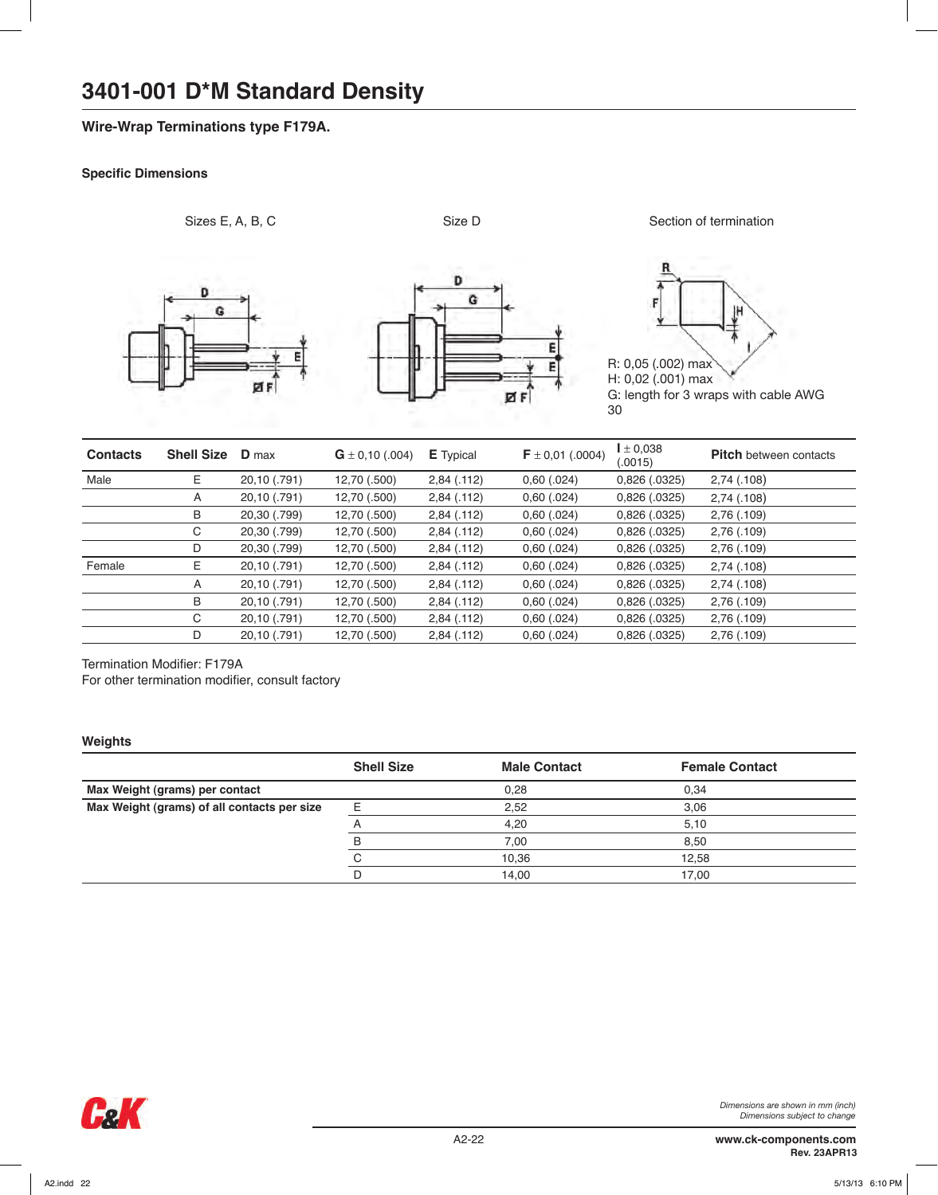### **Wire-Wrap Terminations type F179A.**

#### **Specific Dimensions**

Sizes E, A, B, C<br>
Size D<br>
Size D<br>
Section of termination D G G E Е R: 0,05 (.002) max E H: 0,02 (.001) max G: length for 3 wraps with cable AWG и 30

| <b>Contacts</b> | <b>Shell Size</b> | <b>D</b> max | $G \pm 0.10$ (.004) | <b>E</b> Typical | $\mathsf{F} \pm 0.01$ (.0004) | $\mathbf{l} \pm 0.038$<br>(.0015) | <b>Pitch</b> between contacts |
|-----------------|-------------------|--------------|---------------------|------------------|-------------------------------|-----------------------------------|-------------------------------|
| Male            | Е                 | 20,10 (.791) | 12,70 (.500)        | 2,84(.112)       | 0,60(.024)                    | 0,826(.0325)                      | 2,74(.108)                    |
|                 | A                 | 20,10 (.791) | 12,70 (.500)        | 2,84(.112)       | 0,60(.024)                    | 0,826(.0325)                      | 2,74(.108)                    |
|                 | В                 | 20,30 (.799) | 12,70 (.500)        | 2,84(.112)       | 0,60(.024)                    | 0,826(.0325)                      | 2,76(.109)                    |
|                 | С                 | 20,30 (.799) | 12,70 (.500)        | 2,84(.112)       | 0,60(.024)                    | 0,826(.0325)                      | 2,76 (.109)                   |
|                 | D                 | 20,30 (.799) | 12,70 (.500)        | 2,84(.112)       | 0,60(.024)                    | 0,826(.0325)                      | 2,76 (.109)                   |
| Female          | Е                 | 20,10 (.791) | 12,70 (.500)        | 2,84(.112)       | 0,60(.024)                    | 0,826(.0325)                      | 2,74 (.108)                   |
|                 | A                 | 20,10 (.791) | 12,70 (.500)        | 2,84(.112)       | 0,60(.024)                    | 0,826(.0325)                      | 2,74(.108)                    |
|                 | B                 | 20,10 (.791) | 12,70 (.500)        | 2,84(.112)       | 0,60(.024)                    | 0,826(.0325)                      | 2,76(.109)                    |
|                 | C                 | 20,10 (.791) | 12,70 (.500)        | 2,84(.112)       | 0,60(.024)                    | 0,826(.0325)                      | 2,76 (.109)                   |
|                 | D                 | 20,10 (.791) | 12,70 (.500)        | 2,84(.112)       | $0,60$ $(.024)$               | 0,826(.0325)                      | 2,76 (.109)                   |

Termination Modifier: F179A

For other termination modifier, consult factory

| <b>Shell Size</b> | <b>Male Contact</b> | <b>Female Contact</b> |
|-------------------|---------------------|-----------------------|
|                   | 0,28                | 0.34                  |
| F                 | 2,52                | 3,06                  |
|                   | 4.20                | 5.10                  |
| B                 | 7.00                | 8,50                  |
|                   | 10,36               | 12,58                 |
|                   | 14.00               | 17.00                 |
|                   |                     |                       |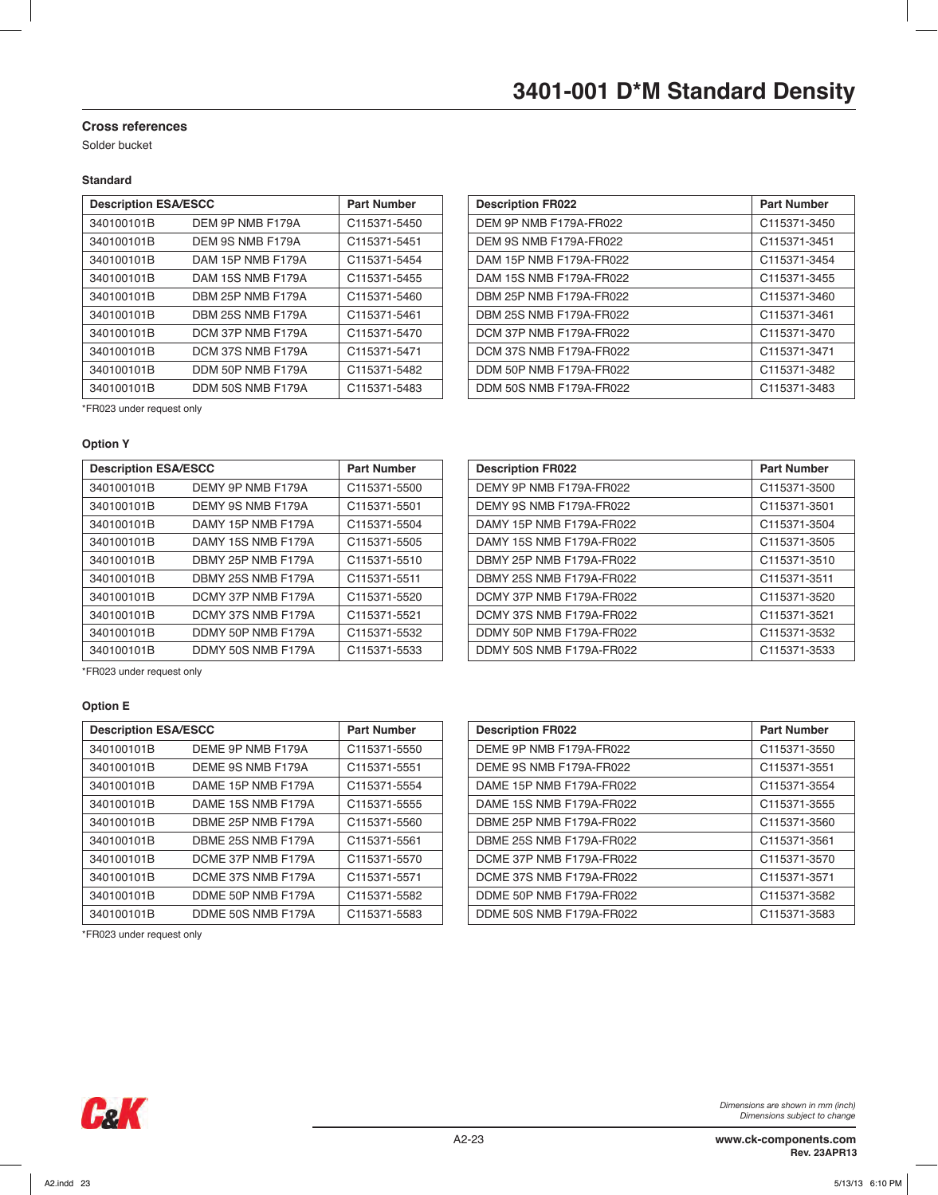#### **Cross references**

Solder bucket

#### **Standard**

| <b>Description ESA/ESCC</b> | <b>Part Number</b> |                          |
|-----------------------------|--------------------|--------------------------|
| 340100101B                  | DEM 9P NMB F179A   | C <sub>115371-5450</sub> |
| 340100101B                  | DEM 9S NMB F179A   | C115371-5451             |
| 340100101B                  | DAM 15P NMB F179A  | C115371-5454             |
| 340100101B                  | DAM 15S NMB F179A  | C <sub>115371-5455</sub> |
| 340100101B                  | DBM 25P NMB F179A  | C115371-5460             |
| 340100101B                  | DBM 25S NMB F179A  | C115371-5461             |
| 340100101B                  | DCM 37P NMB F179A  | C <sub>115371-5470</sub> |
| 340100101B                  | DCM 37S NMB F179A  | C <sub>115371-5471</sub> |
| 340100101B                  | DDM 50P NMB F179A  | C115371-5482             |
| 340100101B                  | DDM 50S NMB F179A  | C <sub>115371-5483</sub> |

| <b>Description ESA/ESCC</b> |                   | <b>Part Number</b> | <b>Description FR022</b> | <b>Part Number</b> |
|-----------------------------|-------------------|--------------------|--------------------------|--------------------|
| 340100101B                  | DEM 9P NMB F179A  | C115371-5450       | DEM 9P NMB F179A-FR022   | C115371-3450       |
| 340100101B                  | DEM 9S NMB F179A  | C115371-5451       | DEM 9S NMB F179A-FR022   | C115371-3451       |
| 340100101B                  | DAM 15P NMB F179A | C115371-5454       | DAM 15P NMB F179A-FR022  | C115371-3454       |
| 340100101B                  | DAM 15S NMB F179A | C115371-5455       | DAM 15S NMB F179A-FR022  | C115371-3455       |
| 340100101B                  | DBM 25P NMB F179A | C115371-5460       | DBM 25P NMB F179A-FR022  | C115371-3460       |
| 340100101B                  | DBM 25S NMB F179A | C115371-5461       | DBM 25S NMB F179A-FR022  | C115371-3461       |
| 340100101B                  | DCM 37P NMB F179A | C115371-5470       | DCM 37P NMB F179A-FR022  | C115371-3470       |
| 340100101B                  | DCM 37S NMB F179A | C115371-5471       | DCM 37S NMB F179A-FR022  | C115371-3471       |
| 340100101B                  | DDM 50P NMB F179A | C115371-5482       | DDM 50P NMB F179A-FR022  | C115371-3482       |
| 340100101B                  | DDM 50S NMB F179A | C115371-5483       | DDM 50S NMB F179A-FR022  | C115371-3483       |
|                             |                   |                    |                          |                    |

\*FR023 under request only

#### **Option Y**

| <b>Description ESA/ESCC</b> | <b>Part Number</b> |              |
|-----------------------------|--------------------|--------------|
| 340100101B                  | DEMY 9P NMB F179A  | C115371-5500 |
| 340100101B                  | DEMY 9S NMB F179A  | C115371-5501 |
| 340100101B                  | DAMY 15P NMB F179A | C115371-5504 |
| 340100101B                  | DAMY 15S NMB F179A | C115371-5505 |
| 340100101B                  | DBMY 25P NMB F179A | C115371-5510 |
| 340100101B                  | DBMY 25S NMB F179A | C115371-5511 |
| 340100101B                  | DCMY 37P NMB F179A | C115371-5520 |
| 340100101B                  | DCMY 37S NMB F179A | C115371-5521 |
| 340100101B                  | DDMY 50P NMB F179A | C115371-5532 |
| 340100101B                  | DDMY 50S NMB F179A | C115371-5533 |

| <b>Description ESA/ESCC</b> |                    | <b>Part Number</b> | <b>Description FR022</b> | <b>Part Number</b> |
|-----------------------------|--------------------|--------------------|--------------------------|--------------------|
| 340100101B                  | DEMY 9P NMB F179A  | C115371-5500       | DEMY 9P NMB F179A-FR022  | C115371-3500       |
| 340100101B                  | DEMY 9S NMB F179A  | C115371-5501       | DEMY 9S NMB F179A-FR022  | C115371-3501       |
| 340100101B                  | DAMY 15P NMB F179A | C115371-5504       | DAMY 15P NMB F179A-FR022 | C115371-3504       |
| 340100101B                  | DAMY 15S NMB F179A | C115371-5505       | DAMY 15S NMB F179A-FR022 | C115371-3505       |
| 340100101B                  | DBMY 25P NMB F179A | C115371-5510       | DBMY 25P NMB F179A-FR022 | C115371-3510       |
| 340100101B                  | DBMY 25S NMB F179A | C115371-5511       | DBMY 25S NMB F179A-FR022 | C115371-3511       |
| 340100101B                  | DCMY 37P NMB F179A | C115371-5520       | DCMY 37P NMB F179A-FR022 | C115371-3520       |
| 340100101B                  | DCMY 37S NMB F179A | C115371-5521       | DCMY 37S NMB F179A-FR022 | C115371-3521       |
| 340100101B                  | DDMY 50P NMB F179A | C115371-5532       | DDMY 50P NMB F179A-FR022 | C115371-3532       |
| 340100101B                  | DDMY 50S NMB F179A | C115371-5533       | DDMY 50S NMB F179A-FR022 | C115371-3533       |

\*FR023 under request only

#### **Option E**

| <b>Description ESA/ESCC</b> | <b>Part Number</b> |                          |  |  |  |  |  |
|-----------------------------|--------------------|--------------------------|--|--|--|--|--|
| 340100101B                  | DEME 9P NMB F179A  | C115371-5550             |  |  |  |  |  |
| 340100101B                  | DEME 9S NMB F179A  | C115371-5551             |  |  |  |  |  |
| 340100101B                  | DAME 15P NMB F179A | C115371-5554             |  |  |  |  |  |
| 340100101B                  | DAME 15S NMB F179A | C115371-5555             |  |  |  |  |  |
| 340100101B                  | DBME 25P NMB F179A | C115371-5560             |  |  |  |  |  |
| 340100101B                  | DBME 25S NMB F179A | C <sub>115371-5561</sub> |  |  |  |  |  |
| 340100101B                  | DCME 37P NMB F179A | C115371-5570             |  |  |  |  |  |
| 340100101B                  | DCME 37S NMB F179A | C115371-5571             |  |  |  |  |  |
| 340100101B                  | DDME 50P NMB F179A | C115371-5582             |  |  |  |  |  |
| 340100101B                  | DDME 50S NMB F179A | C115371-5583             |  |  |  |  |  |

| <b>Description ESA/ESCC</b> |                    | <b>Part Number</b> | <b>Description FR022</b> | <b>Part Number</b> |
|-----------------------------|--------------------|--------------------|--------------------------|--------------------|
| 340100101B                  | DEME 9P NMB F179A  | C115371-5550       | DEME 9P NMB F179A-FR022  | C115371-3550       |
| 340100101B                  | DEME 9S NMB F179A  | C115371-5551       | DEME 9S NMB F179A-FR022  | C115371-3551       |
| 340100101B                  | DAME 15P NMB F179A | C115371-5554       | DAME 15P NMB F179A-FR022 | C115371-3554       |
| 340100101B                  | DAME 15S NMB F179A | C115371-5555       | DAME 15S NMB F179A-FR022 | C115371-3555       |
| 340100101B                  | DBME 25P NMB F179A | C115371-5560       | DBME 25P NMB F179A-FR022 | C115371-3560       |
| 340100101B                  | DBME 25S NMB F179A | C115371-5561       | DBME 25S NMB F179A-FR022 | C115371-3561       |
| 340100101B                  | DCME 37P NMB F179A | C115371-5570       | DCME 37P NMB F179A-FR022 | C115371-3570       |
| 340100101B                  | DCME 37S NMB F179A | C115371-5571       | DCME 37S NMB F179A-FR022 | C115371-3571       |
| 340100101B                  | DDME 50P NMB F179A | C115371-5582       | DDME 50P NMB F179A-FR022 | C115371-3582       |
| 340100101B                  | DDME 50S NMB F179A | C115371-5583       | DDME 50S NMB F179A-FR022 | C115371-3583       |
|                             |                    |                    |                          |                    |

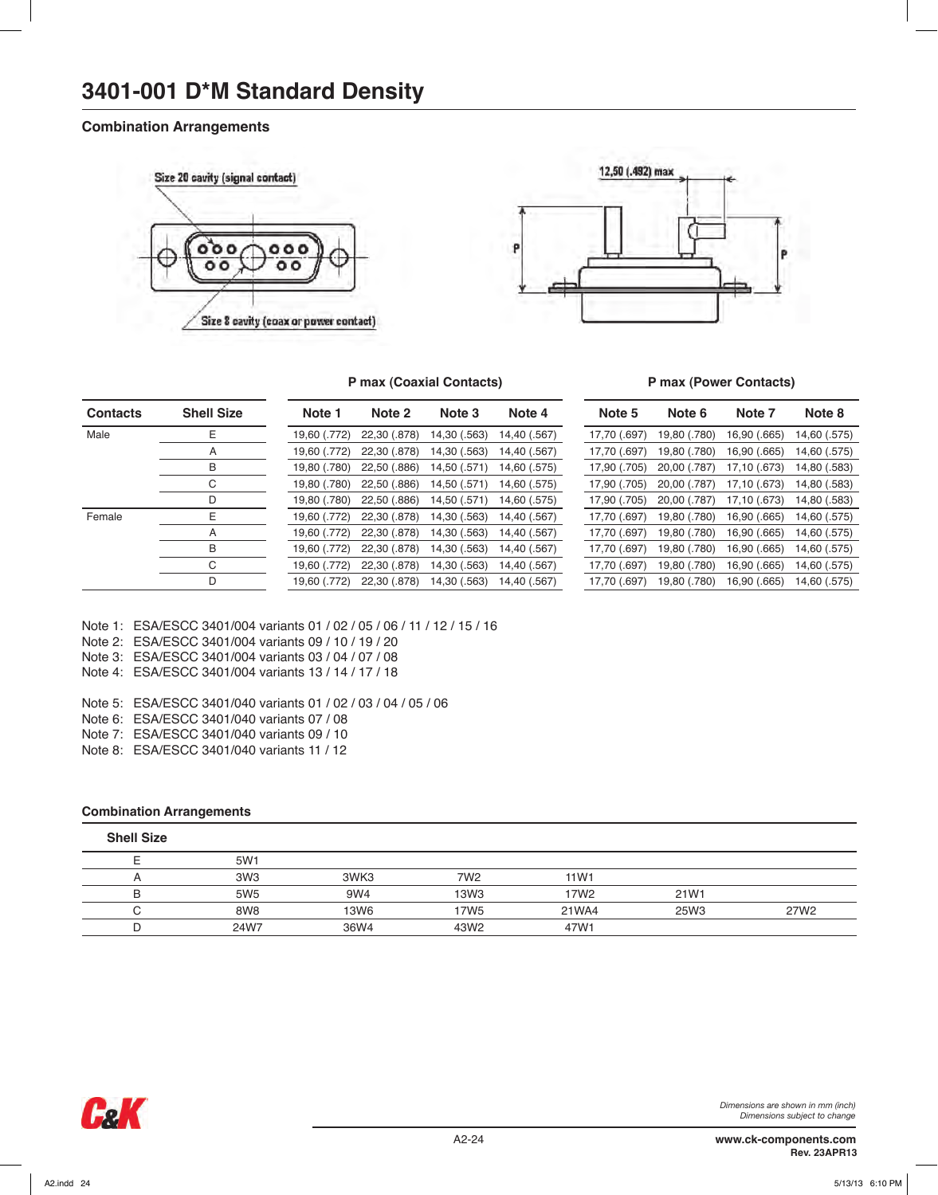#### **Combination Arrangements**





#### **P max (Coaxial Contacts) P max (Power Contacts)**

| Contacts | <b>Shell Size</b> | Note 1       | Note 2       | Note 3       | Note 4       | Note 5       | Note 6       | Note 7       | Note 8       |
|----------|-------------------|--------------|--------------|--------------|--------------|--------------|--------------|--------------|--------------|
| Male     | E                 | 19,60 (.772) | 22,30 (.878) | 14,30 (.563) | 14,40 (.567) | 17,70 (.697) | 19,80 (.780) | 16,90 (.665) | 14,60 (.575) |
|          | Α                 | 19,60 (.772) | 22,30 (.878) | 14,30 (.563) | 14,40 (.567) | 17,70 (.697) | 19,80 (.780) | 16,90 (.665) | 14,60 (.575) |
|          | В                 | 19,80 (.780) | 22,50 (.886) | 14,50 (.571) | 14,60 (.575) | 17,90 (.705) | 20,00 (.787) | 17,10 (.673) | 14,80 (.583) |
|          | С                 | 19,80 (.780) | 22,50 (.886) | 14,50 (.571) | 14,60 (.575) | 17,90 (.705) | 20,00 (.787) | 17,10 (.673) | 14,80 (.583) |
|          | D                 | 19,80 (.780) | 22,50 (.886) | 14,50 (.571) | 14,60 (.575) | 17,90 (.705) | 20,00 (.787) | 17,10 (.673) | 14,80 (.583) |
| Female   | E                 | 19,60 (.772) | 22,30 (.878) | 14,30 (.563) | 14,40 (.567) | 17,70 (.697) | 19,80 (.780) | 16,90 (.665) | 14,60 (.575) |
|          | Α                 | 19,60 (.772) | 22,30 (.878) | 14,30 (.563) | 14,40 (.567) | 17,70 (.697) | 19,80 (.780) | 16,90 (.665) | 14,60 (.575) |
|          | B                 | 19,60 (.772) | 22,30 (.878) | 14,30 (.563) | 14,40 (.567) | 17,70 (.697) | 19,80 (.780) | 16,90 (.665) | 14,60 (.575) |
|          | С                 | 19,60 (.772) | 22,30 (.878) | 14,30 (.563) | 14,40 (.567) | 17,70 (.697) | 19,80 (.780) | 16,90 (.665) | 14,60 (.575) |
|          | D                 | 19,60 (.772) | 22,30 (.878) | 14,30 (.563) | 14,40 (.567) | 17,70 (.697) | 19,80 (.780) | 16,90 (.665) | 14,60 (.575) |
|          |                   |              |              |              |              |              |              |              |              |

Note 1: ESA/ESCC 3401/004 variants 01 / 02 / 05 / 06 / 11 / 12 / 15 / 16

Note 2: ESA/ESCC 3401/004 variants 09 / 10 / 19 / 20

Note 3: ESA/ESCC 3401/004 variants 03 / 04 / 07 / 08

Note 4: ESA/ESCC 3401/004 variants 13 / 14 / 17 / 18

Note 5: ESA/ESCC 3401/040 variants 01 / 02 / 03 / 04 / 05 / 06

Note 6: ESA/ESCC 3401/040 variants 07 / 08

Note 7: ESA/ESCC 3401/040 variants 09 / 10

Note 8: ESA/ESCC 3401/040 variants 11 / 12

#### **Combination Arrangements**

| <b>Shell Size</b> |                 |             |                  |                  |                  |                  |
|-------------------|-----------------|-------------|------------------|------------------|------------------|------------------|
|                   | 5W1             |             |                  |                  |                  |                  |
|                   | 3W <sub>3</sub> | 3WK3        | 7W <sub>2</sub>  | 11W1             |                  |                  |
| в                 | 5W <sub>5</sub> | 9W4         | 13W <sub>3</sub> | 17W <sub>2</sub> | 21W1             |                  |
| $\sim$            | 8W8             | <b>13W6</b> | 17W5             | 21WA4            | 25W <sub>3</sub> | 27W <sub>2</sub> |
|                   | 24W7            | 36W4        | 43W2             | 47W1             |                  |                  |

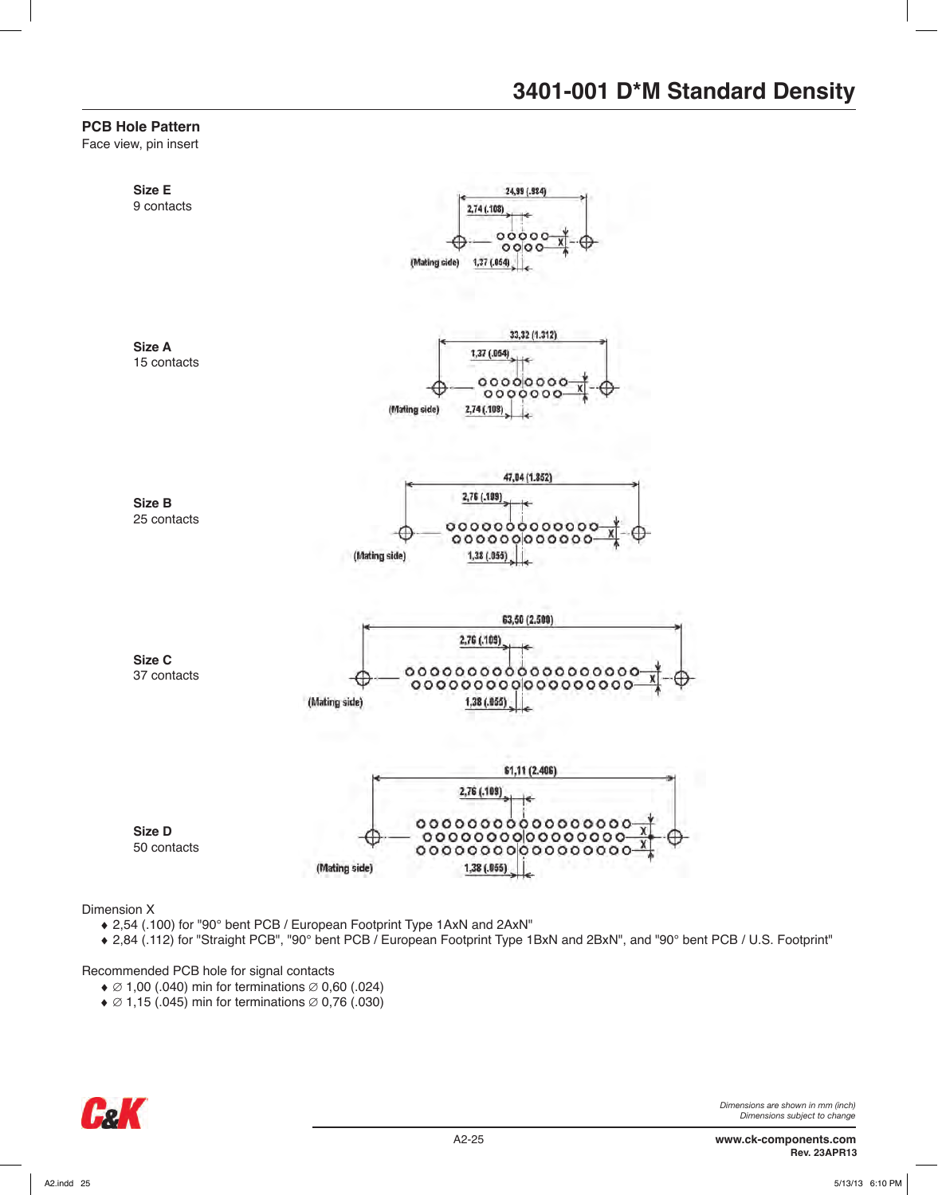#### **PCB Hole Pattern**

Face view, pin insert



Dimension X

- ♦ 2,54 (.100) for "90° bent PCB / European Footprint Type 1AxN and 2AxN"
- ♦ 2,84 (.112) for "Straight PCB", "90° bent PCB / European Footprint Type 1BxN and 2BxN", and "90° bent PCB / U.S. Footprint"

Recommended PCB hole for signal contacts

- ♦ ∅ 1,00 (.040) min for terminations ∅ 0,60 (.024)
- ♦ ∅ 1,15 (.045) min for terminations ∅ 0,76 (.030)

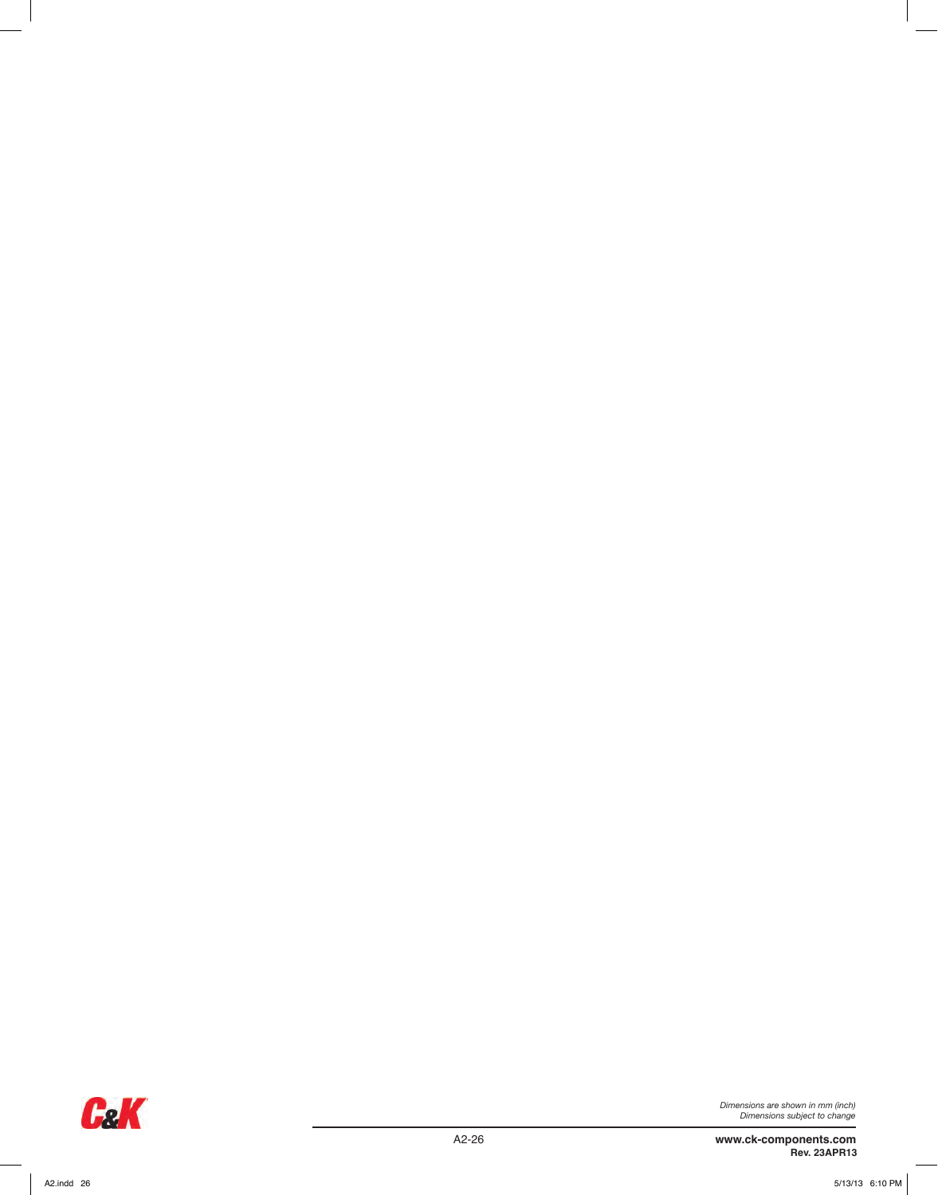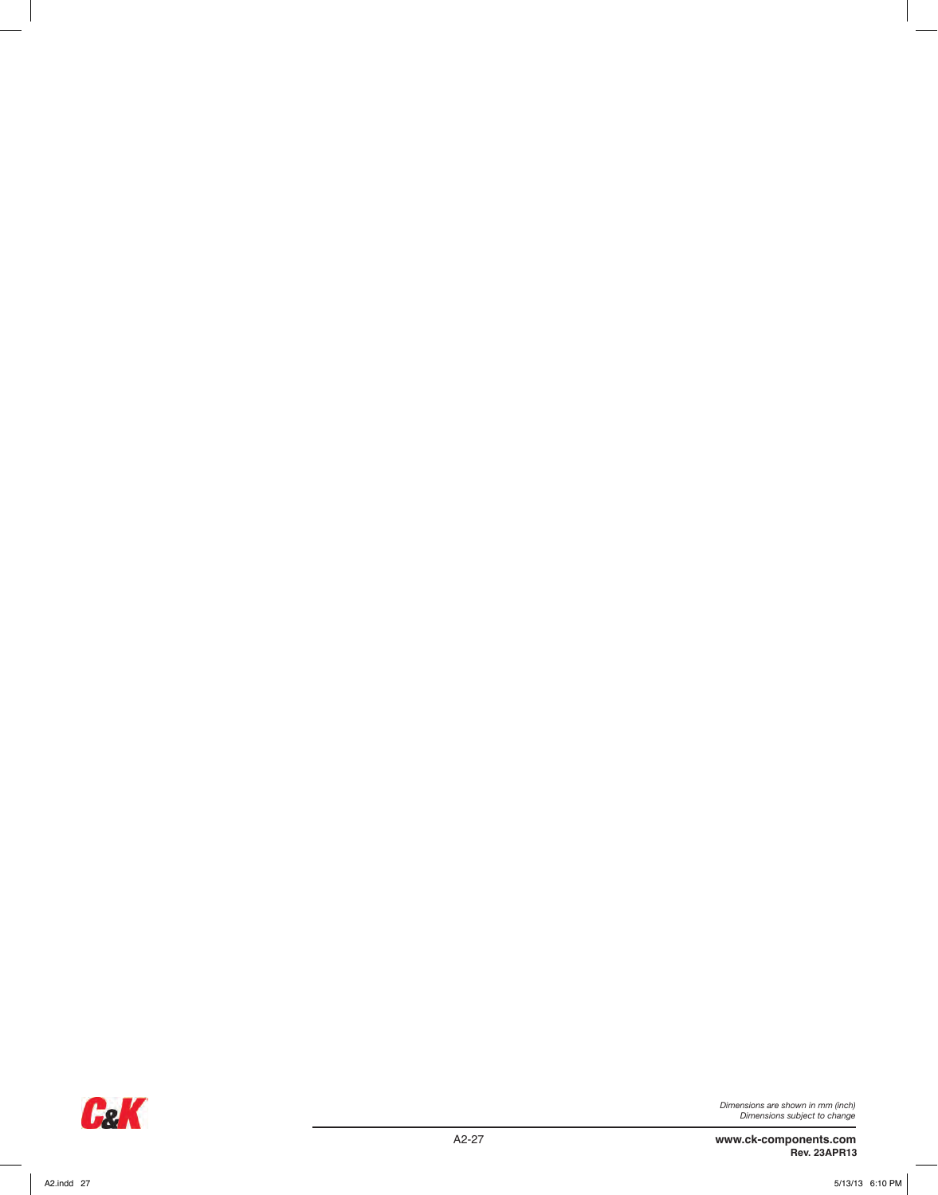